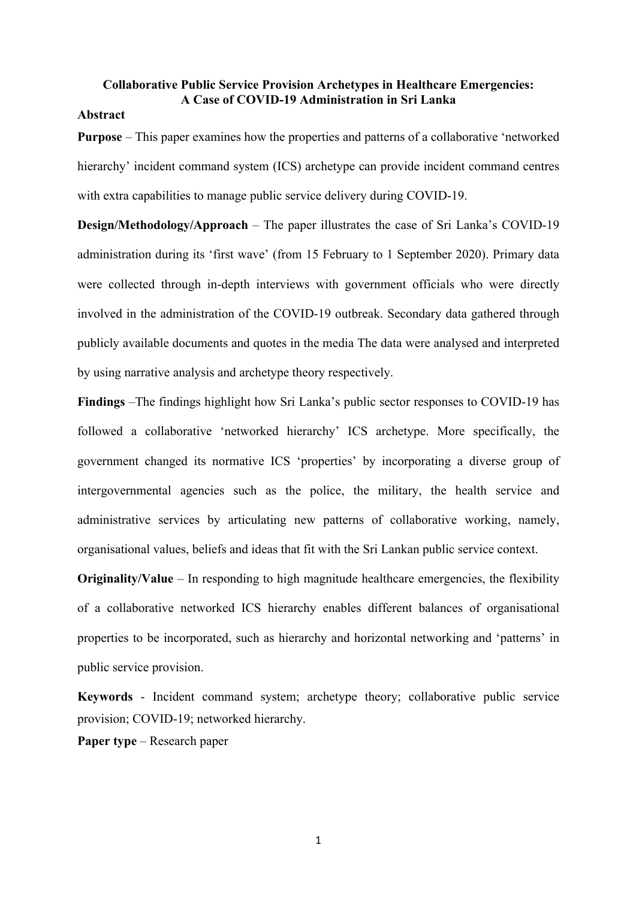# **Collaborative Public Service Provision Archetypes in Healthcare Emergencies: A Case of COVID-19 Administration in Sri Lanka**

# **Abstract**

**Purpose** – This paper examines how the properties and patterns of a collaborative 'networked hierarchy' incident command system (ICS) archetype can provide incident command centres with extra capabilities to manage public service delivery during COVID-19.

**Design/Methodology/Approach** – The paper illustrates the case of Sri Lanka's COVID-19 administration during its 'first wave' (from 15 February to 1 September 2020). Primary data were collected through in-depth interviews with government officials who were directly involved in the administration of the COVID-19 outbreak. Secondary data gathered through publicly available documents and quotes in the media The data were analysed and interpreted by using narrative analysis and archetype theory respectively.

**Findings** –The findings highlight how Sri Lanka's public sector responses to COVID-19 has followed a collaborative 'networked hierarchy' ICS archetype. More specifically, the government changed its normative ICS 'properties' by incorporating a diverse group of intergovernmental agencies such as the police, the military, the health service and administrative services by articulating new patterns of collaborative working, namely, organisational values, beliefs and ideas that fit with the Sri Lankan public service context.

**Originality/Value** – In responding to high magnitude healthcare emergencies, the flexibility of a collaborative networked ICS hierarchy enables different balances of organisational properties to be incorporated, such as hierarchy and horizontal networking and 'patterns' in public service provision.

**Keywords** - Incident command system; archetype theory; collaborative public service provision; COVID-19; networked hierarchy.

**Paper type** – Research paper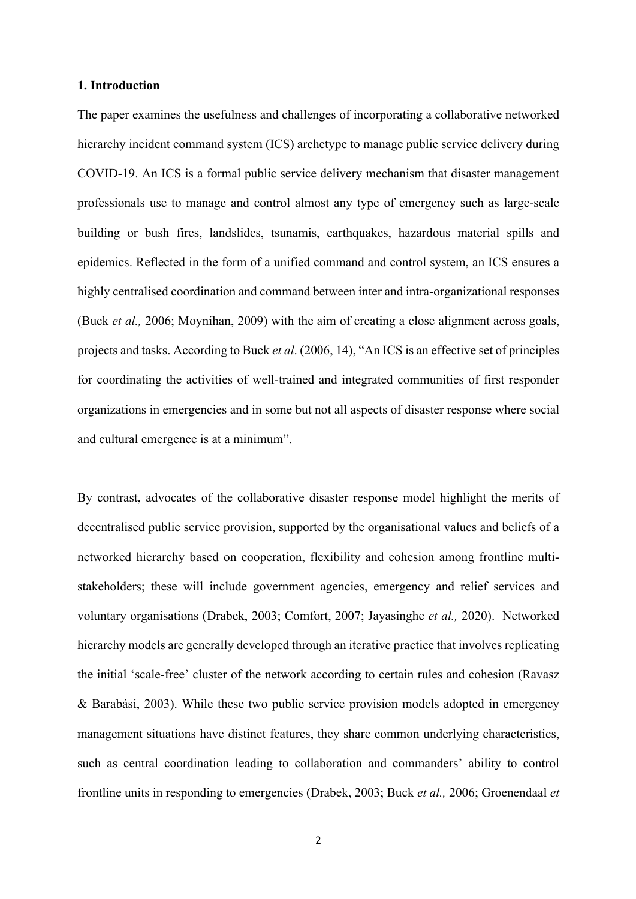## **1. Introduction**

The paper examines the usefulness and challenges of incorporating a collaborative networked hierarchy incident command system (ICS) archetype to manage public service delivery during COVID-19. An ICS is a formal public service delivery mechanism that disaster management professionals use to manage and control almost any type of emergency such as large-scale building or bush fires, landslides, tsunamis, earthquakes, hazardous material spills and epidemics. Reflected in the form of a unified command and control system, an ICS ensures a highly centralised coordination and command between inter and intra-organizational responses (Buck *et al.,* 2006; Moynihan, 2009) with the aim of creating a close alignment across goals, projects and tasks. According to Buck *et al*. (2006, 14), "An ICS is an effective set of principles for coordinating the activities of well-trained and integrated communities of first responder organizations in emergencies and in some but not all aspects of disaster response where social and cultural emergence is at a minimum".

By contrast, advocates of the collaborative disaster response model highlight the merits of decentralised public service provision, supported by the organisational values and beliefs of a networked hierarchy based on cooperation, flexibility and cohesion among frontline multistakeholders; these will include government agencies, emergency and relief services and voluntary organisations (Drabek, 2003; Comfort, 2007; Jayasinghe *et al.,* 2020). Networked hierarchy models are generally developed through an iterative practice that involves replicating the initial 'scale-free' cluster of the network according to certain rules and cohesion (Ravasz & Barabási, 2003). While these two public service provision models adopted in emergency management situations have distinct features, they share common underlying characteristics, such as central coordination leading to collaboration and commanders' ability to control frontline units in responding to emergencies (Drabek, 2003; Buck *et al.,* 2006; Groenendaal *et*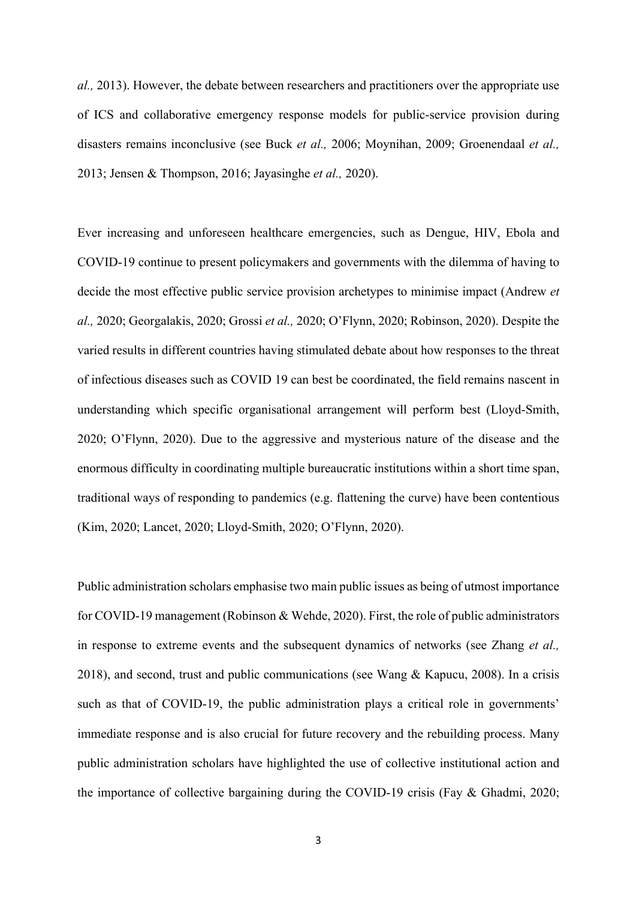*al.,* 2013). However, the debate between researchers and practitioners over the appropriate use of ICS and collaborative emergency response models for public-service provision during disasters remains inconclusive (see Buck *et al.,* 2006; Moynihan, 2009; Groenendaal *et al.,* 2013; Jensen & Thompson, 2016; Jayasinghe *et al.,* 2020).

Ever increasing and unforeseen healthcare emergencies, such as Dengue, HIV, Ebola and COVID-19 continue to present policymakers and governments with the dilemma of having to decide the most effective public service provision archetypes to minimise impact (Andrew *et al.,* 2020; Georgalakis, 2020; Grossi *et al.,* 2020; O'Flynn, 2020; Robinson, 2020). Despite the varied results in different countries having stimulated debate about how responses to the threat of infectious diseases such as COVID 19 can best be coordinated, the field remains nascent in understanding which specific organisational arrangement will perform best (Lloyd-Smith, 2020; O'Flynn, 2020). Due to the aggressive and mysterious nature of the disease and the enormous difficulty in coordinating multiple bureaucratic institutions within a short time span, traditional ways of responding to pandemics (e.g. flattening the curve) have been contentious (Kim, 2020; Lancet, 2020; Lloyd-Smith, 2020; O'Flynn, 2020).

Public administration scholars emphasise two main public issues as being of utmost importance for COVID-19 management (Robinson & Wehde, 2020). First, the role of public administrators in response to extreme events and the subsequent dynamics of networks (see Zhang *et al.,* 2018), and second, trust and public communications (see Wang & Kapucu, 2008). In a crisis such as that of COVID-19, the public administration plays a critical role in governments' immediate response and is also crucial for future recovery and the rebuilding process. Many public administration scholars have highlighted the use of collective institutional action and the importance of collective bargaining during the COVID-19 crisis (Fay & Ghadmi, 2020;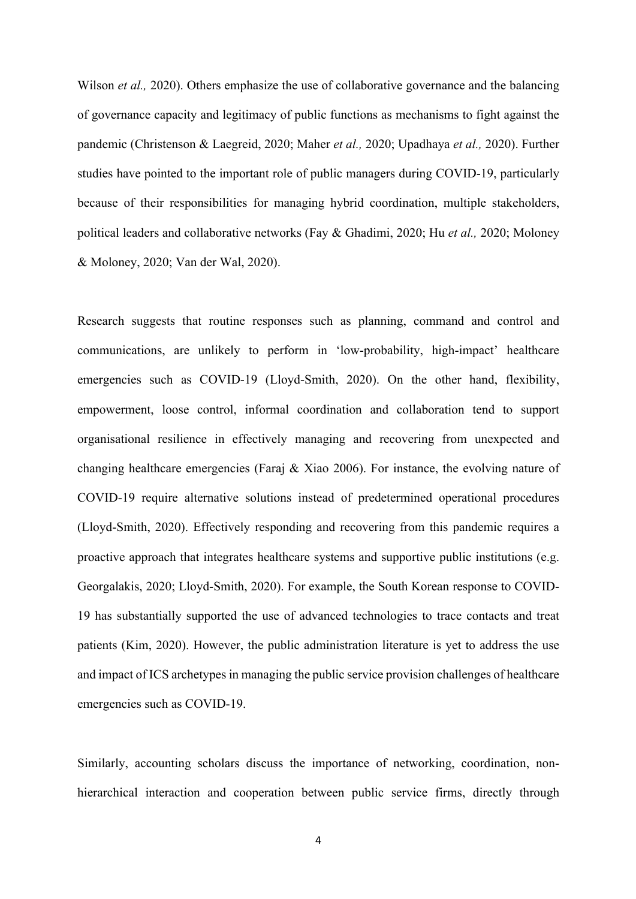Wilson *et al.*, 2020). Others emphasize the use of collaborative governance and the balancing of governance capacity and legitimacy of public functions as mechanisms to fight against the pandemic (Christenson & Laegreid, 2020; Maher *et al.,* 2020; Upadhaya *et al.,* 2020). Further studies have pointed to the important role of public managers during COVID-19, particularly because of their responsibilities for managing hybrid coordination, multiple stakeholders, political leaders and collaborative networks (Fay & Ghadimi, 2020; Hu *et al.,* 2020; Moloney & Moloney, 2020; Van der Wal, 2020).

Research suggests that routine responses such as planning, command and control and communications, are unlikely to perform in 'low-probability, high-impact' healthcare emergencies such as COVID-19 (Lloyd-Smith, 2020). On the other hand, flexibility, empowerment, loose control, informal coordination and collaboration tend to support organisational resilience in effectively managing and recovering from unexpected and changing healthcare emergencies (Faraj & Xiao 2006). For instance, the evolving nature of COVID-19 require alternative solutions instead of predetermined operational procedures (Lloyd-Smith, 2020). Effectively responding and recovering from this pandemic requires a proactive approach that integrates healthcare systems and supportive public institutions (e.g. Georgalakis, 2020; Lloyd-Smith, 2020). For example, the South Korean response to COVID-19 has substantially supported the use of advanced technologies to trace contacts and treat patients (Kim, 2020). However, the public administration literature is yet to address the use and impact of ICS archetypes in managing the public service provision challenges of healthcare emergencies such as COVID-19.

Similarly, accounting scholars discuss the importance of networking, coordination, nonhierarchical interaction and cooperation between public service firms, directly through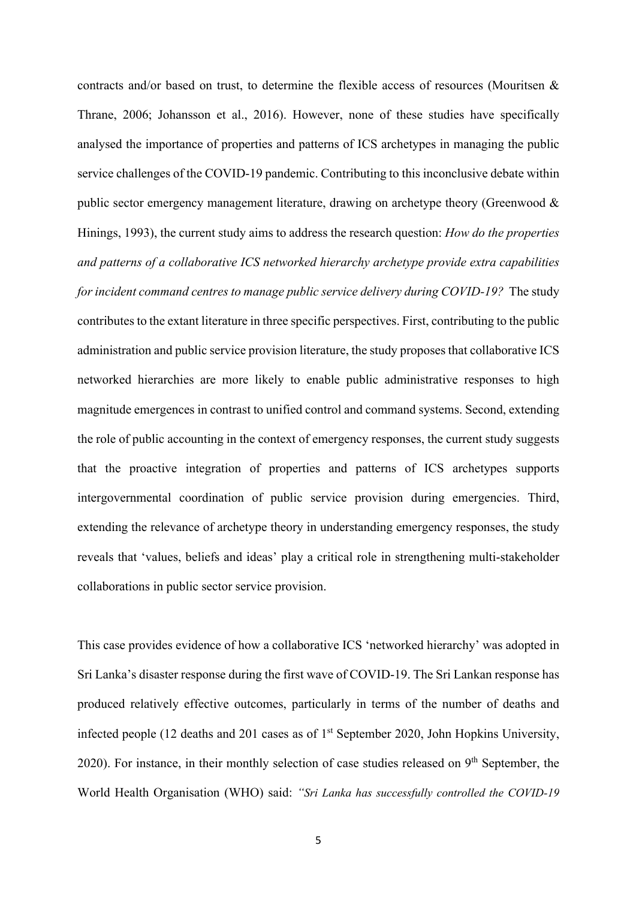contracts and/or based on trust, to determine the flexible access of resources (Mouritsen & Thrane, 2006; Johansson et al., 2016). However, none of these studies have specifically analysed the importance of properties and patterns of ICS archetypes in managing the public service challenges of the COVID-19 pandemic. Contributing to this inconclusive debate within public sector emergency management literature, drawing on archetype theory (Greenwood & Hinings, 1993), the current study aims to address the research question: *How do the properties and patterns of a collaborative ICS networked hierarchy archetype provide extra capabilities for incident command centres to manage public service delivery during COVID-19?* The study contributes to the extant literature in three specific perspectives. First, contributing to the public administration and public service provision literature, the study proposes that collaborative ICS networked hierarchies are more likely to enable public administrative responses to high magnitude emergences in contrast to unified control and command systems. Second, extending the role of public accounting in the context of emergency responses, the current study suggests that the proactive integration of properties and patterns of ICS archetypes supports intergovernmental coordination of public service provision during emergencies. Third, extending the relevance of archetype theory in understanding emergency responses, the study reveals that 'values, beliefs and ideas' play a critical role in strengthening multi-stakeholder collaborations in public sector service provision.

This case provides evidence of how a collaborative ICS 'networked hierarchy' was adopted in Sri Lanka's disaster response during the first wave of COVID-19. The Sri Lankan response has produced relatively effective outcomes, particularly in terms of the number of deaths and infected people (12 deaths and 201 cases as of 1st September 2020, John Hopkins University, 2020). For instance, in their monthly selection of case studies released on  $9<sup>th</sup>$  September, the World Health Organisation (WHO) said: *"Sri Lanka has successfully controlled the COVID-19*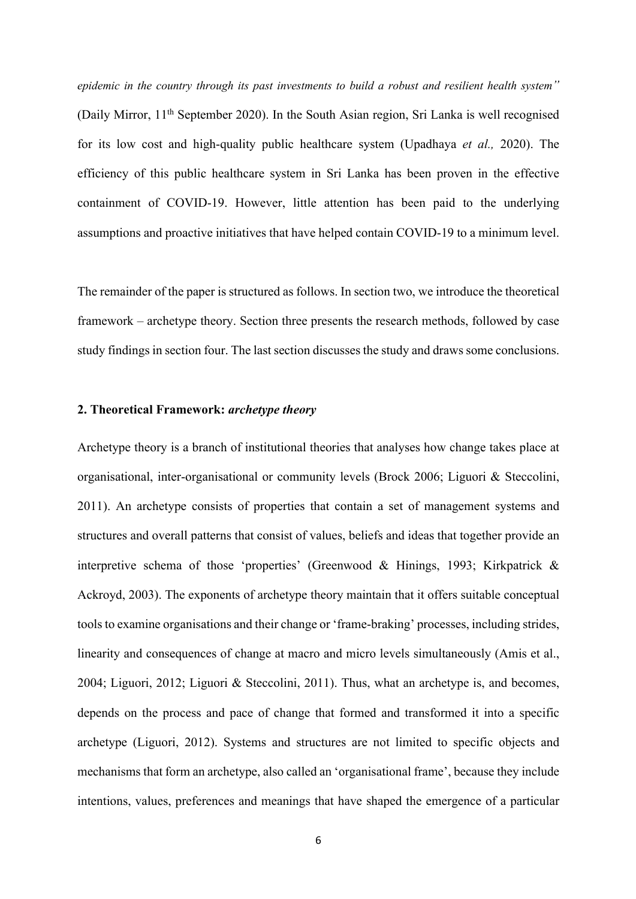*epidemic in the country through its past investments to build a robust and resilient health system"* (Daily Mirror, 11th September 2020). In the South Asian region, Sri Lanka is well recognised for its low cost and high-quality public healthcare system (Upadhaya *et al.,* 2020). The efficiency of this public healthcare system in Sri Lanka has been proven in the effective containment of COVID-19. However, little attention has been paid to the underlying assumptions and proactive initiatives that have helped contain COVID-19 to a minimum level.

The remainder of the paper is structured as follows. In section two, we introduce the theoretical framework – archetype theory. Section three presents the research methods, followed by case study findings in section four. The last section discusses the study and draws some conclusions.

# **2. Theoretical Framework:** *archetype theory*

Archetype theory is a branch of institutional theories that analyses how change takes place at organisational, inter-organisational or community levels (Brock 2006; Liguori & Steccolini, 2011). An archetype consists of properties that contain a set of management systems and structures and overall patterns that consist of values, beliefs and ideas that together provide an interpretive schema of those 'properties' (Greenwood & Hinings, 1993; Kirkpatrick & Ackroyd, 2003). The exponents of archetype theory maintain that it offers suitable conceptual tools to examine organisations and their change or 'frame-braking' processes, including strides, linearity and consequences of change at macro and micro levels simultaneously (Amis et al., 2004; Liguori, 2012; Liguori & Steccolini, 2011). Thus, what an archetype is, and becomes, depends on the process and pace of change that formed and transformed it into a specific archetype (Liguori, 2012). Systems and structures are not limited to specific objects and mechanisms that form an archetype, also called an 'organisational frame', because they include intentions, values, preferences and meanings that have shaped the emergence of a particular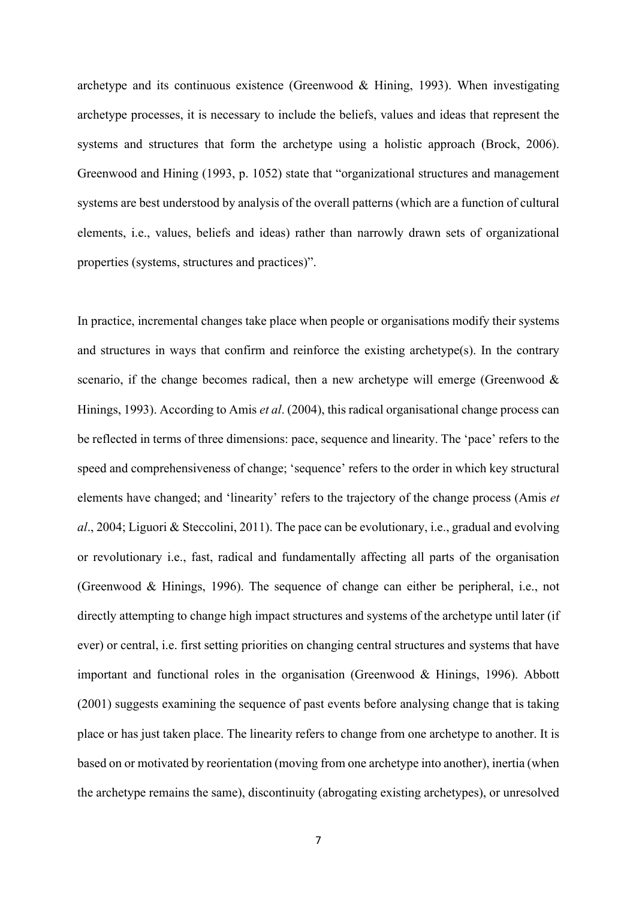archetype and its continuous existence (Greenwood & Hining, 1993). When investigating archetype processes, it is necessary to include the beliefs, values and ideas that represent the systems and structures that form the archetype using a holistic approach (Brock, 2006). Greenwood and Hining (1993, p. 1052) state that "organizational structures and management systems are best understood by analysis of the overall patterns (which are a function of cultural elements, i.e., values, beliefs and ideas) rather than narrowly drawn sets of organizational properties (systems, structures and practices)".

In practice, incremental changes take place when people or organisations modify their systems and structures in ways that confirm and reinforce the existing archetype(s). In the contrary scenario, if the change becomes radical, then a new archetype will emerge (Greenwood  $\&$ Hinings, 1993). According to Amis *et al*. (2004), this radical organisational change process can be reflected in terms of three dimensions: pace, sequence and linearity. The 'pace' refers to the speed and comprehensiveness of change; 'sequence' refers to the order in which key structural elements have changed; and 'linearity' refers to the trajectory of the change process (Amis *et al*., 2004; Liguori & Steccolini, 2011). The pace can be evolutionary, i.e., gradual and evolving or revolutionary i.e., fast, radical and fundamentally affecting all parts of the organisation (Greenwood & Hinings, 1996). The sequence of change can either be peripheral, i.e., not directly attempting to change high impact structures and systems of the archetype until later (if ever) or central, i.e. first setting priorities on changing central structures and systems that have important and functional roles in the organisation (Greenwood & Hinings, 1996). Abbott (2001) suggests examining the sequence of past events before analysing change that is taking place or has just taken place. The linearity refers to change from one archetype to another. It is based on or motivated by reorientation (moving from one archetype into another), inertia (when the archetype remains the same), discontinuity (abrogating existing archetypes), or unresolved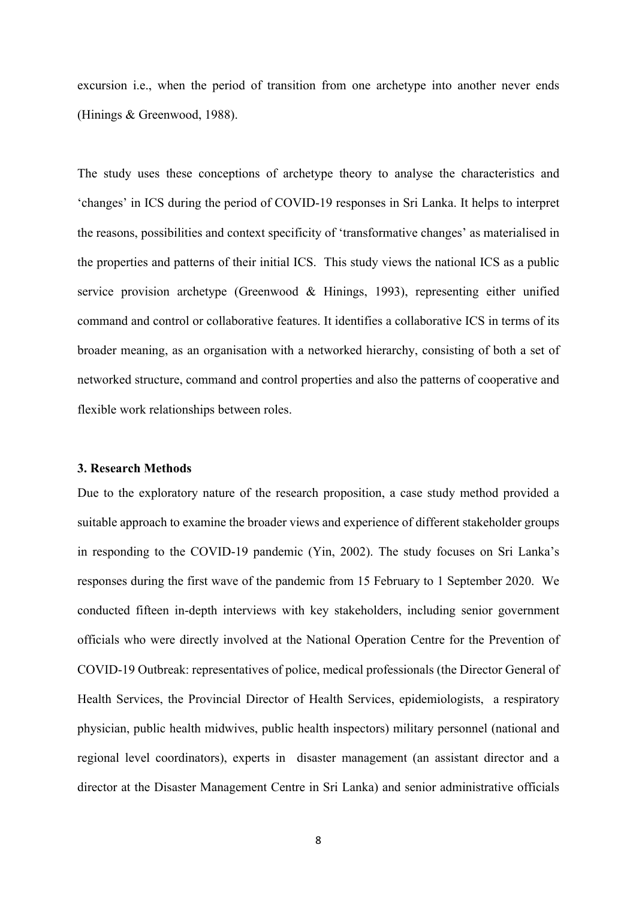excursion i.e., when the period of transition from one archetype into another never ends (Hinings & Greenwood, 1988).

The study uses these conceptions of archetype theory to analyse the characteristics and 'changes' in ICS during the period of COVID-19 responses in Sri Lanka. It helps to interpret the reasons, possibilities and context specificity of 'transformative changes' as materialised in the properties and patterns of their initial ICS. This study views the national ICS as a public service provision archetype (Greenwood & Hinings, 1993), representing either unified command and control or collaborative features. It identifies a collaborative ICS in terms of its broader meaning, as an organisation with a networked hierarchy, consisting of both a set of networked structure, command and control properties and also the patterns of cooperative and flexible work relationships between roles.

#### **3. Research Methods**

Due to the exploratory nature of the research proposition, a case study method provided a suitable approach to examine the broader views and experience of different stakeholder groups in responding to the COVID-19 pandemic (Yin, 2002). The study focuses on Sri Lanka's responses during the first wave of the pandemic from 15 February to 1 September 2020. We conducted fifteen in-depth interviews with key stakeholders, including senior government officials who were directly involved at the National Operation Centre for the Prevention of COVID-19 Outbreak: representatives of police, medical professionals (the Director General of Health Services, the Provincial Director of Health Services, epidemiologists, a respiratory physician, public health midwives, public health inspectors) military personnel (national and regional level coordinators), experts in disaster management (an assistant director and a director at the Disaster Management Centre in Sri Lanka) and senior administrative officials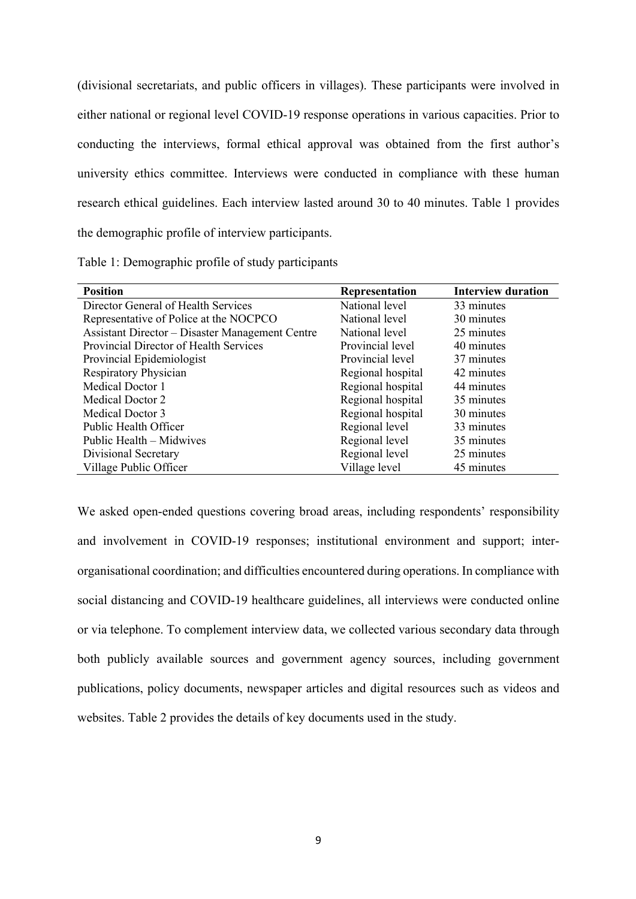(divisional secretariats, and public officers in villages). These participants were involved in either national or regional level COVID-19 response operations in various capacities. Prior to conducting the interviews, formal ethical approval was obtained from the first author's university ethics committee. Interviews were conducted in compliance with these human research ethical guidelines. Each interview lasted around 30 to 40 minutes. Table 1 provides the demographic profile of interview participants.

| Table 1: Demographic profile of study participants |  |  |
|----------------------------------------------------|--|--|
|                                                    |  |  |

| <b>Position</b>                                        | <b>Representation</b> | <b>Interview duration</b> |
|--------------------------------------------------------|-----------------------|---------------------------|
| Director General of Health Services                    | National level        | 33 minutes                |
| Representative of Police at the NOCPCO                 | National level        | 30 minutes                |
| <b>Assistant Director – Disaster Management Centre</b> | National level        | 25 minutes                |
| Provincial Director of Health Services                 | Provincial level      | 40 minutes                |
| Provincial Epidemiologist                              | Provincial level      | 37 minutes                |
| Respiratory Physician                                  | Regional hospital     | 42 minutes                |
| Medical Doctor 1                                       | Regional hospital     | 44 minutes                |
| Medical Doctor 2                                       | Regional hospital     | 35 minutes                |
| Medical Doctor 3                                       | Regional hospital     | 30 minutes                |
| Public Health Officer                                  | Regional level        | 33 minutes                |
| Public Health – Midwives                               | Regional level        | 35 minutes                |
| Divisional Secretary                                   | Regional level        | 25 minutes                |
| Village Public Officer                                 | Village level         | 45 minutes                |

We asked open-ended questions covering broad areas, including respondents' responsibility and involvement in COVID-19 responses; institutional environment and support; interorganisational coordination; and difficulties encountered during operations. In compliance with social distancing and COVID-19 healthcare guidelines, all interviews were conducted online or via telephone. To complement interview data, we collected various secondary data through both publicly available sources and government agency sources, including government publications, policy documents, newspaper articles and digital resources such as videos and websites. Table 2 provides the details of key documents used in the study.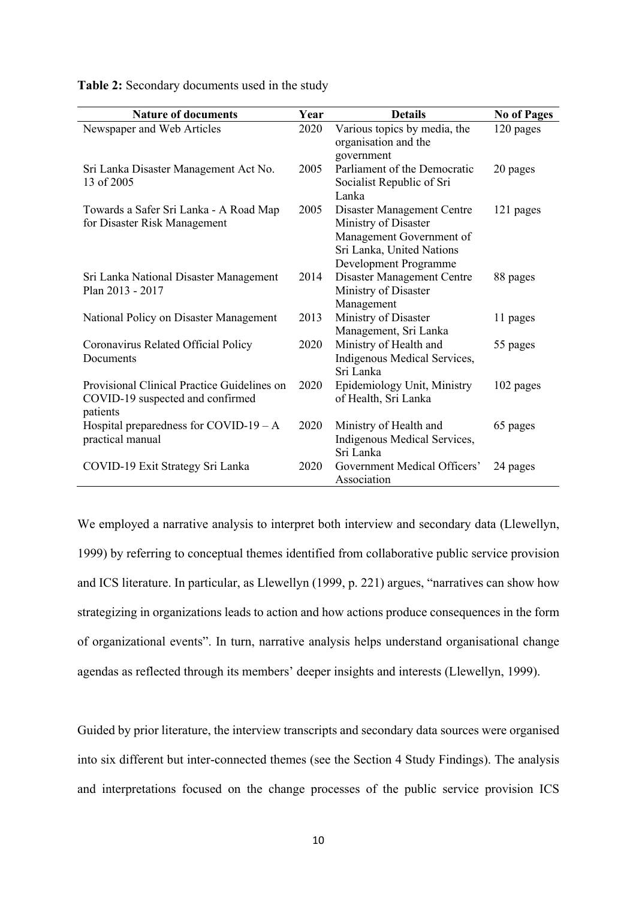| <b>Nature of documents</b>                                                                  | Year | <b>Details</b>                                                                                                                       | <b>No of Pages</b> |
|---------------------------------------------------------------------------------------------|------|--------------------------------------------------------------------------------------------------------------------------------------|--------------------|
| Newspaper and Web Articles                                                                  | 2020 | Various topics by media, the<br>organisation and the<br>government                                                                   | 120 pages          |
| Sri Lanka Disaster Management Act No.<br>13 of 2005                                         | 2005 | Parliament of the Democratic<br>Socialist Republic of Sri<br>Lanka                                                                   | 20 pages           |
| Towards a Safer Sri Lanka - A Road Map<br>for Disaster Risk Management                      | 2005 | Disaster Management Centre<br>Ministry of Disaster<br>Management Government of<br>Sri Lanka, United Nations<br>Development Programme | 121 pages          |
| Sri Lanka National Disaster Management<br>Plan 2013 - 2017                                  | 2014 | Disaster Management Centre<br>Ministry of Disaster<br>Management                                                                     | 88 pages           |
| National Policy on Disaster Management                                                      | 2013 | Ministry of Disaster<br>Management, Sri Lanka                                                                                        | 11 pages           |
| Coronavirus Related Official Policy<br>Documents                                            | 2020 | Ministry of Health and<br>Indigenous Medical Services,<br>Sri Lanka                                                                  | 55 pages           |
| Provisional Clinical Practice Guidelines on<br>COVID-19 suspected and confirmed<br>patients | 2020 | Epidemiology Unit, Ministry<br>of Health, Sri Lanka                                                                                  | 102 pages          |
| Hospital preparedness for COVID-19 $- A$<br>practical manual                                | 2020 | Ministry of Health and<br>Indigenous Medical Services,<br>Sri Lanka                                                                  | 65 pages           |
| COVID-19 Exit Strategy Sri Lanka                                                            | 2020 | Government Medical Officers'<br>Association                                                                                          | 24 pages           |

**Table 2:** Secondary documents used in the study

We employed a narrative analysis to interpret both interview and secondary data (Llewellyn, 1999) by referring to conceptual themes identified from collaborative public service provision and ICS literature. In particular, as Llewellyn (1999, p. 221) argues, "narratives can show how strategizing in organizations leads to action and how actions produce consequences in the form of organizational events". In turn, narrative analysis helps understand organisational change agendas as reflected through its members' deeper insights and interests (Llewellyn, 1999).

Guided by prior literature, the interview transcripts and secondary data sources were organised into six different but inter-connected themes (see the Section 4 Study Findings). The analysis and interpretations focused on the change processes of the public service provision ICS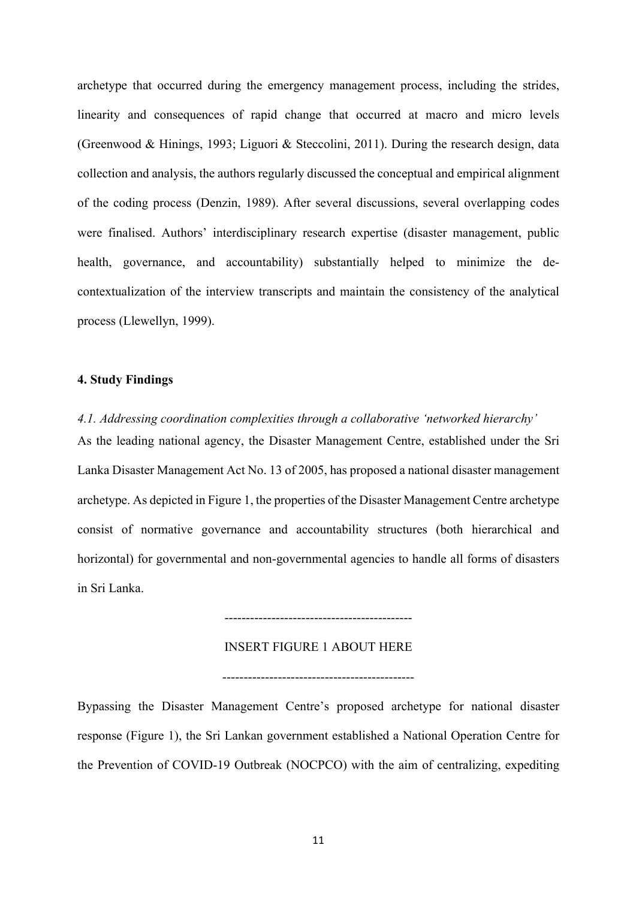archetype that occurred during the emergency management process, including the strides, linearity and consequences of rapid change that occurred at macro and micro levels (Greenwood & Hinings, 1993; Liguori & Steccolini, 2011). During the research design, data collection and analysis, the authors regularly discussed the conceptual and empirical alignment of the coding process (Denzin, 1989). After several discussions, several overlapping codes were finalised. Authors' interdisciplinary research expertise (disaster management, public health, governance, and accountability) substantially helped to minimize the decontextualization of the interview transcripts and maintain the consistency of the analytical process (Llewellyn, 1999).

# **4. Study Findings**

*4.1. Addressing coordination complexities through a collaborative 'networked hierarchy'*  As the leading national agency, the Disaster Management Centre, established under the Sri Lanka Disaster Management Act No. 13 of 2005, has proposed a national disaster management archetype. As depicted in Figure 1, the properties of the Disaster Management Centre archetype consist of normative governance and accountability structures (both hierarchical and horizontal) for governmental and non-governmental agencies to handle all forms of disasters in Sri Lanka.

#### INSERT FIGURE 1 ABOUT HERE

--------------------------------------------

---------------------------------------------

Bypassing the Disaster Management Centre's proposed archetype for national disaster response (Figure 1), the Sri Lankan government established a National Operation Centre for the Prevention of COVID-19 Outbreak (NOCPCO) with the aim of centralizing, expediting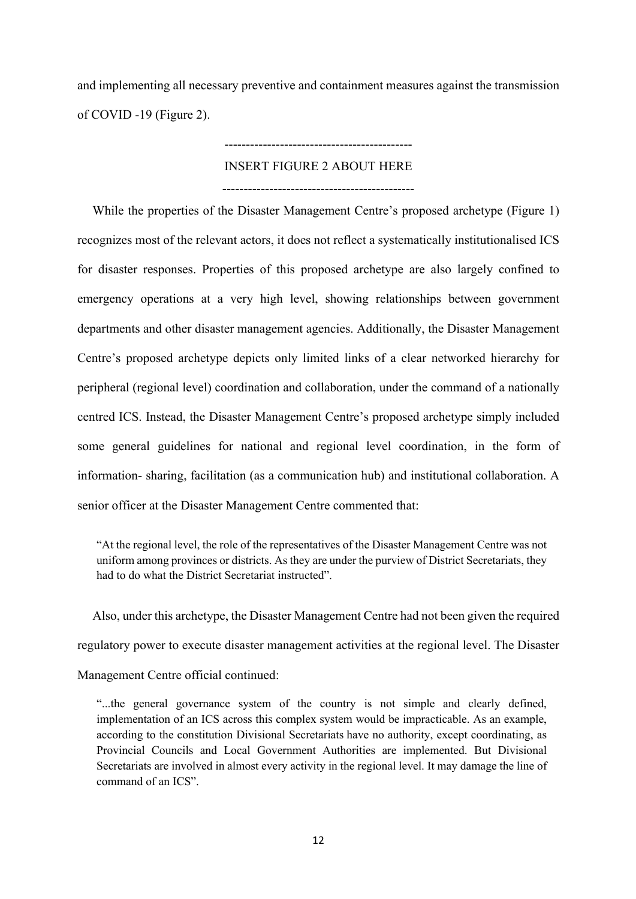and implementing all necessary preventive and containment measures against the transmission of COVID -19 (Figure 2).

# --------------------------------------------

# INSERT FIGURE 2 ABOUT HERE

---------------------------------------------

While the properties of the Disaster Management Centre's proposed archetype (Figure 1) recognizes most of the relevant actors, it does not reflect a systematically institutionalised ICS for disaster responses. Properties of this proposed archetype are also largely confined to emergency operations at a very high level, showing relationships between government departments and other disaster management agencies. Additionally, the Disaster Management Centre's proposed archetype depicts only limited links of a clear networked hierarchy for peripheral (regional level) coordination and collaboration, under the command of a nationally centred ICS. Instead, the Disaster Management Centre's proposed archetype simply included some general guidelines for national and regional level coordination, in the form of information- sharing, facilitation (as a communication hub) and institutional collaboration. A senior officer at the Disaster Management Centre commented that:

"At the regional level, the role of the representatives of the Disaster Management Centre was not uniform among provinces or districts. As they are under the purview of District Secretariats, they had to do what the District Secretariat instructed".

Also, under this archetype, the Disaster Management Centre had not been given the required regulatory power to execute disaster management activities at the regional level. The Disaster

Management Centre official continued:

"...the general governance system of the country is not simple and clearly defined, implementation of an ICS across this complex system would be impracticable. As an example, according to the constitution Divisional Secretariats have no authority, except coordinating, as Provincial Councils and Local Government Authorities are implemented. But Divisional Secretariats are involved in almost every activity in the regional level. It may damage the line of command of an ICS".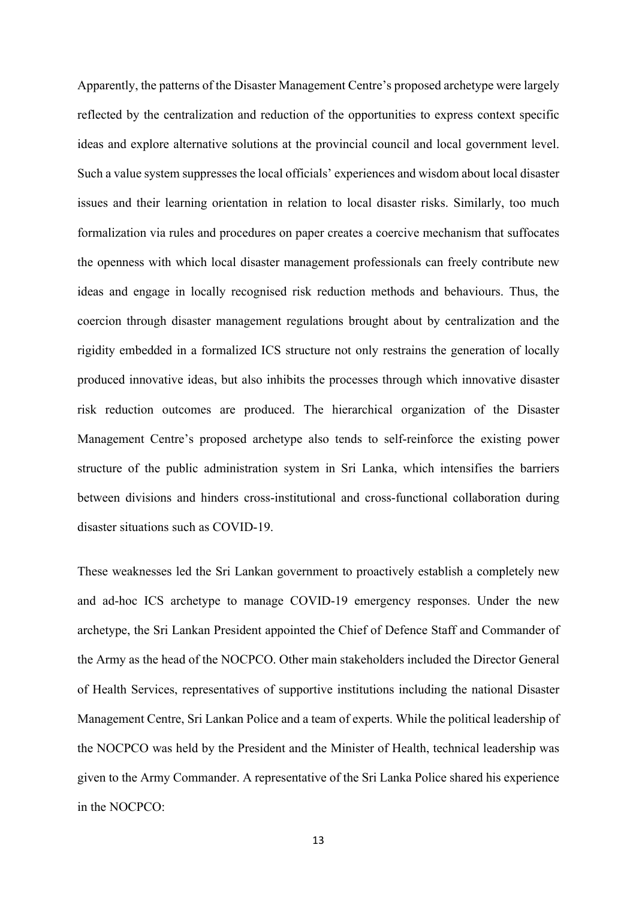Apparently, the patterns of the Disaster Management Centre's proposed archetype were largely reflected by the centralization and reduction of the opportunities to express context specific ideas and explore alternative solutions at the provincial council and local government level. Such a value system suppresses the local officials' experiences and wisdom about local disaster issues and their learning orientation in relation to local disaster risks. Similarly, too much formalization via rules and procedures on paper creates a coercive mechanism that suffocates the openness with which local disaster management professionals can freely contribute new ideas and engage in locally recognised risk reduction methods and behaviours. Thus, the coercion through disaster management regulations brought about by centralization and the rigidity embedded in a formalized ICS structure not only restrains the generation of locally produced innovative ideas, but also inhibits the processes through which innovative disaster risk reduction outcomes are produced. The hierarchical organization of the Disaster Management Centre's proposed archetype also tends to self-reinforce the existing power structure of the public administration system in Sri Lanka, which intensifies the barriers between divisions and hinders cross-institutional and cross-functional collaboration during disaster situations such as COVID-19.

These weaknesses led the Sri Lankan government to proactively establish a completely new and ad-hoc ICS archetype to manage COVID-19 emergency responses. Under the new archetype, the Sri Lankan President appointed the Chief of Defence Staff and Commander of the Army as the head of the NOCPCO. Other main stakeholders included the Director General of Health Services, representatives of supportive institutions including the national Disaster Management Centre, Sri Lankan Police and a team of experts. While the political leadership of the NOCPCO was held by the President and the Minister of Health, technical leadership was given to the Army Commander. A representative of the Sri Lanka Police shared his experience in the NOCPCO: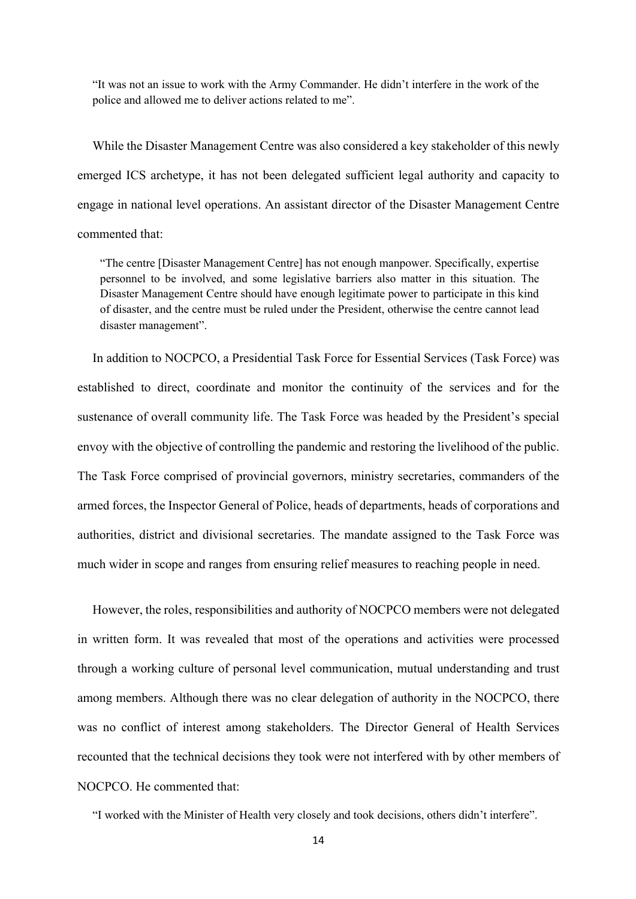"It was not an issue to work with the Army Commander. He didn't interfere in the work of the police and allowed me to deliver actions related to me".

While the Disaster Management Centre was also considered a key stakeholder of this newly emerged ICS archetype, it has not been delegated sufficient legal authority and capacity to engage in national level operations. An assistant director of the Disaster Management Centre commented that:

"The centre [Disaster Management Centre] has not enough manpower. Specifically, expertise personnel to be involved, and some legislative barriers also matter in this situation. The Disaster Management Centre should have enough legitimate power to participate in this kind of disaster, and the centre must be ruled under the President, otherwise the centre cannot lead disaster management".

In addition to NOCPCO, a Presidential Task Force for Essential Services (Task Force) was established to direct, coordinate and monitor the continuity of the services and for the sustenance of overall community life. The Task Force was headed by the President's special envoy with the objective of controlling the pandemic and restoring the livelihood of the public. The Task Force comprised of provincial governors, ministry secretaries, commanders of the armed forces, the Inspector General of Police, heads of departments, heads of corporations and authorities, district and divisional secretaries. The mandate assigned to the Task Force was much wider in scope and ranges from ensuring relief measures to reaching people in need.

However, the roles, responsibilities and authority of NOCPCO members were not delegated in written form. It was revealed that most of the operations and activities were processed through a working culture of personal level communication, mutual understanding and trust among members. Although there was no clear delegation of authority in the NOCPCO, there was no conflict of interest among stakeholders. The Director General of Health Services recounted that the technical decisions they took were not interfered with by other members of NOCPCO. He commented that:

"I worked with the Minister of Health very closely and took decisions, others didn't interfere".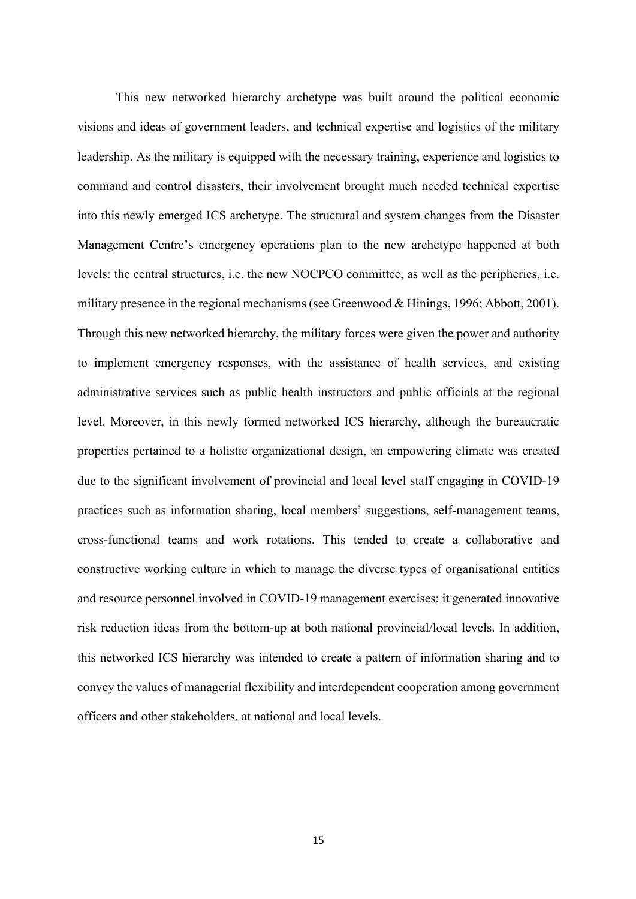This new networked hierarchy archetype was built around the political economic visions and ideas of government leaders, and technical expertise and logistics of the military leadership. As the military is equipped with the necessary training, experience and logistics to command and control disasters, their involvement brought much needed technical expertise into this newly emerged ICS archetype. The structural and system changes from the Disaster Management Centre's emergency operations plan to the new archetype happened at both levels: the central structures, i.e. the new NOCPCO committee, as well as the peripheries, i.e. military presence in the regional mechanisms (see Greenwood & Hinings, 1996; Abbott, 2001). Through this new networked hierarchy, the military forces were given the power and authority to implement emergency responses, with the assistance of health services, and existing administrative services such as public health instructors and public officials at the regional level. Moreover, in this newly formed networked ICS hierarchy, although the bureaucratic properties pertained to a holistic organizational design, an empowering climate was created due to the significant involvement of provincial and local level staff engaging in COVID-19 practices such as information sharing, local members' suggestions, self-management teams, cross-functional teams and work rotations. This tended to create a collaborative and constructive working culture in which to manage the diverse types of organisational entities and resource personnel involved in COVID-19 management exercises; it generated innovative risk reduction ideas from the bottom-up at both national provincial/local levels. In addition, this networked ICS hierarchy was intended to create a pattern of information sharing and to convey the values of managerial flexibility and interdependent cooperation among government officers and other stakeholders, at national and local levels.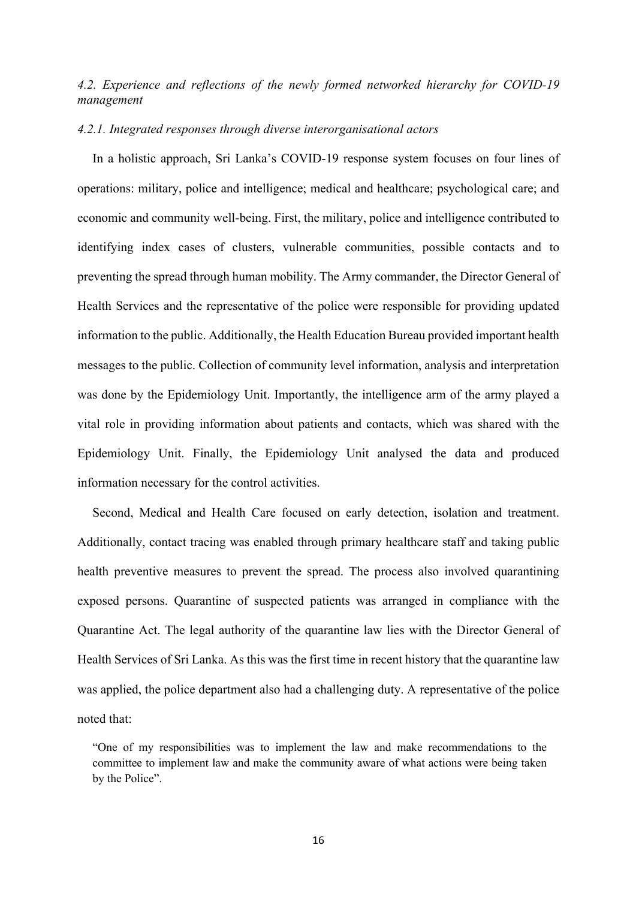# *4.2. Experience and reflections of the newly formed networked hierarchy for COVID-19 management*

## *4.2.1. Integrated responses through diverse interorganisational actors*

In a holistic approach, Sri Lanka's COVID-19 response system focuses on four lines of operations: military, police and intelligence; medical and healthcare; psychological care; and economic and community well-being. First, the military, police and intelligence contributed to identifying index cases of clusters, vulnerable communities, possible contacts and to preventing the spread through human mobility. The Army commander, the Director General of Health Services and the representative of the police were responsible for providing updated information to the public. Additionally, the Health Education Bureau provided important health messages to the public. Collection of community level information, analysis and interpretation was done by the Epidemiology Unit. Importantly, the intelligence arm of the army played a vital role in providing information about patients and contacts, which was shared with the Epidemiology Unit. Finally, the Epidemiology Unit analysed the data and produced information necessary for the control activities.

Second, Medical and Health Care focused on early detection, isolation and treatment. Additionally, contact tracing was enabled through primary healthcare staff and taking public health preventive measures to prevent the spread. The process also involved quarantining exposed persons. Quarantine of suspected patients was arranged in compliance with the Quarantine Act. The legal authority of the quarantine law lies with the Director General of Health Services of Sri Lanka. As this was the first time in recent history that the quarantine law was applied, the police department also had a challenging duty. A representative of the police noted that:

"One of my responsibilities was to implement the law and make recommendations to the committee to implement law and make the community aware of what actions were being taken by the Police".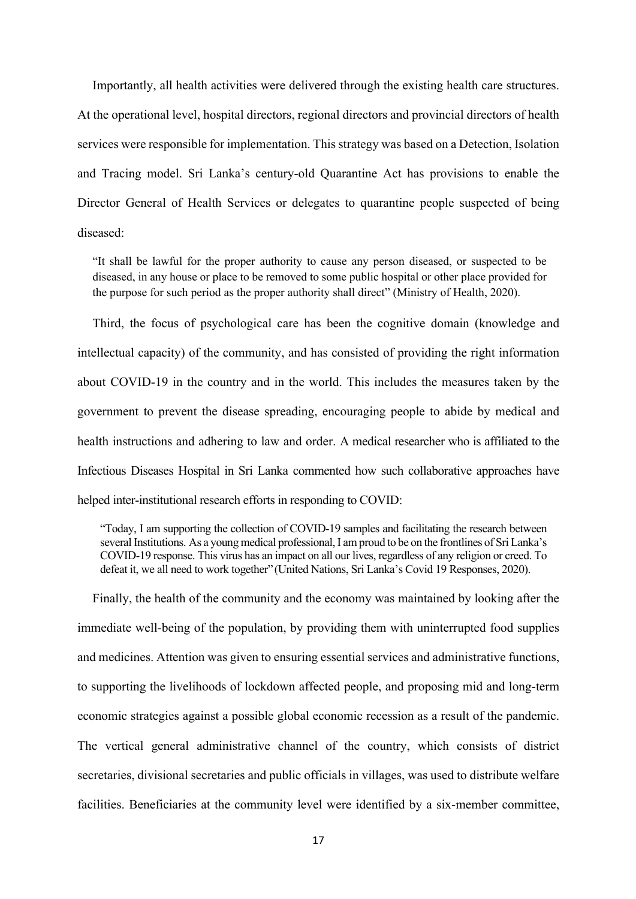Importantly, all health activities were delivered through the existing health care structures. At the operational level, hospital directors, regional directors and provincial directors of health services were responsible for implementation. This strategy was based on a Detection, Isolation and Tracing model. Sri Lanka's century-old Quarantine Act has provisions to enable the Director General of Health Services or delegates to quarantine people suspected of being diseased:

"It shall be lawful for the proper authority to cause any person diseased, or suspected to be diseased, in any house or place to be removed to some public hospital or other place provided for the purpose for such period as the proper authority shall direct" (Ministry of Health, 2020).

Third, the focus of psychological care has been the cognitive domain (knowledge and intellectual capacity) of the community, and has consisted of providing the right information about COVID-19 in the country and in the world. This includes the measures taken by the government to prevent the disease spreading, encouraging people to abide by medical and health instructions and adhering to law and order. A medical researcher who is affiliated to the Infectious Diseases Hospital in Sri Lanka commented how such collaborative approaches have helped inter-institutional research efforts in responding to COVID:

"Today, I am supporting the collection of COVID-19 samples and facilitating the research between several Institutions. As a young medical professional, I am proud to be on the frontlines of Sri Lanka's COVID-19 response. This virus has an impact on all our lives, regardless of any religion or creed. To defeat it, we all need to work together"(United Nations, Sri Lanka's Covid 19 Responses, 2020).

Finally, the health of the community and the economy was maintained by looking after the immediate well-being of the population, by providing them with uninterrupted food supplies and medicines. Attention was given to ensuring essential services and administrative functions, to supporting the livelihoods of lockdown affected people, and proposing mid and long-term economic strategies against a possible global economic recession as a result of the pandemic. The vertical general administrative channel of the country, which consists of district secretaries, divisional secretaries and public officials in villages, was used to distribute welfare facilities. Beneficiaries at the community level were identified by a six-member committee,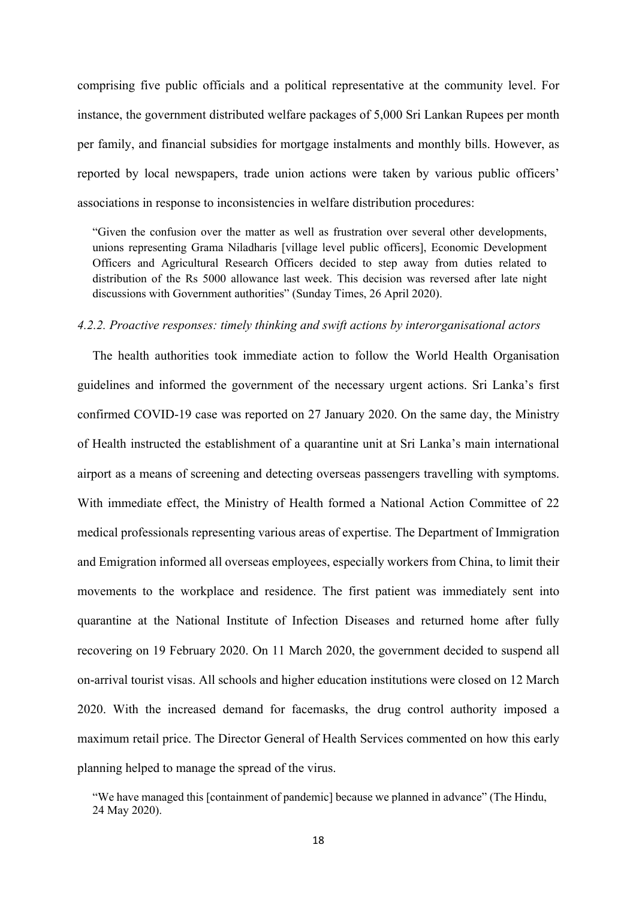comprising five public officials and a political representative at the community level. For instance, the government distributed welfare packages of 5,000 Sri Lankan Rupees per month per family, and financial subsidies for mortgage instalments and monthly bills. However, as reported by local newspapers, trade union actions were taken by various public officers' associations in response to inconsistencies in welfare distribution procedures:

"Given the confusion over the matter as well as frustration over several other developments, unions representing Grama Niladharis [village level public officers], Economic Development Officers and Agricultural Research Officers decided to step away from duties related to distribution of the Rs 5000 allowance last week. This decision was reversed after late night discussions with Government authorities" (Sunday Times, 26 April 2020).

#### *4.2.2. Proactive responses: timely thinking and swift actions by interorganisational actors*

The health authorities took immediate action to follow the World Health Organisation guidelines and informed the government of the necessary urgent actions. Sri Lanka's first confirmed COVID-19 case was reported on 27 January 2020. On the same day, the Ministry of Health instructed the establishment of a quarantine unit at Sri Lanka's main international airport as a means of screening and detecting overseas passengers travelling with symptoms. With immediate effect, the Ministry of Health formed a National Action Committee of 22 medical professionals representing various areas of expertise. The Department of Immigration and Emigration informed all overseas employees, especially workers from China, to limit their movements to the workplace and residence. The first patient was immediately sent into quarantine at the National Institute of Infection Diseases and returned home after fully recovering on 19 February 2020. On 11 March 2020, the government decided to suspend all on-arrival tourist visas. All schools and higher education institutions were closed on 12 March 2020. With the increased demand for facemasks, the drug control authority imposed a maximum retail price. The Director General of Health Services commented on how this early planning helped to manage the spread of the virus.

"We have managed this [containment of pandemic] because we planned in advance" (The Hindu, 24 May 2020).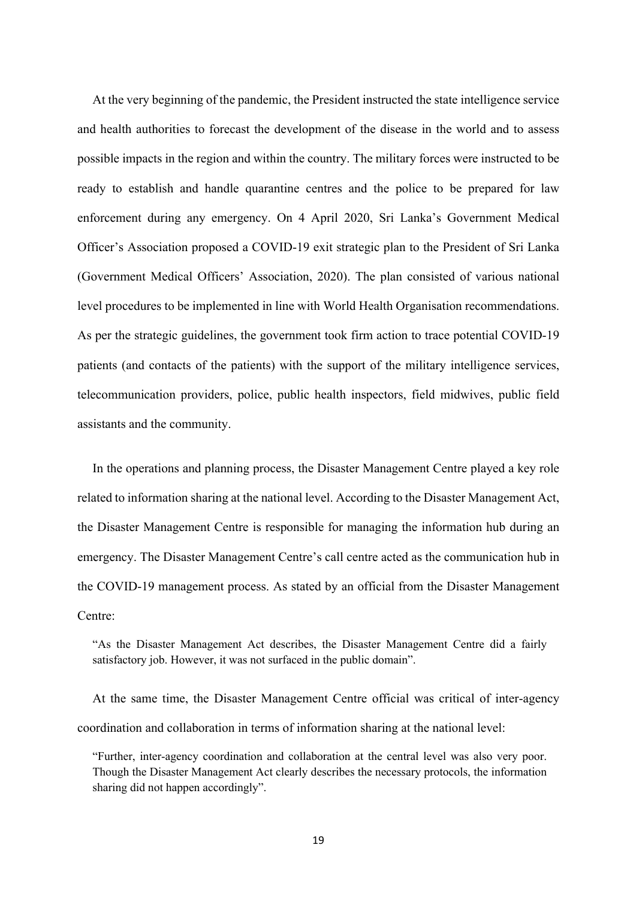At the very beginning of the pandemic, the President instructed the state intelligence service and health authorities to forecast the development of the disease in the world and to assess possible impacts in the region and within the country. The military forces were instructed to be ready to establish and handle quarantine centres and the police to be prepared for law enforcement during any emergency. On 4 April 2020, Sri Lanka's Government Medical Officer's Association proposed a COVID-19 exit strategic plan to the President of Sri Lanka (Government Medical Officers' Association, 2020). The plan consisted of various national level procedures to be implemented in line with World Health Organisation recommendations. As per the strategic guidelines, the government took firm action to trace potential COVID-19 patients (and contacts of the patients) with the support of the military intelligence services, telecommunication providers, police, public health inspectors, field midwives, public field assistants and the community.

In the operations and planning process, the Disaster Management Centre played a key role related to information sharing at the national level. According to the Disaster Management Act, the Disaster Management Centre is responsible for managing the information hub during an emergency. The Disaster Management Centre's call centre acted as the communication hub in the COVID-19 management process. As stated by an official from the Disaster Management Centre:

"As the Disaster Management Act describes, the Disaster Management Centre did a fairly satisfactory job. However, it was not surfaced in the public domain".

At the same time, the Disaster Management Centre official was critical of inter-agency coordination and collaboration in terms of information sharing at the national level:

"Further, inter-agency coordination and collaboration at the central level was also very poor. Though the Disaster Management Act clearly describes the necessary protocols, the information sharing did not happen accordingly".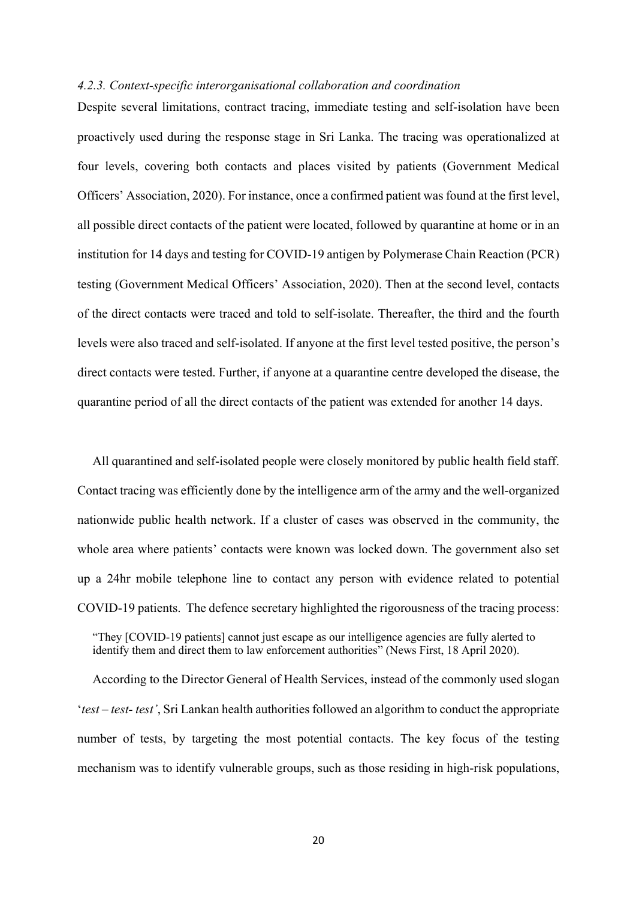#### *4.2.3. Context-specific interorganisational collaboration and coordination*

Despite several limitations, contract tracing, immediate testing and self-isolation have been proactively used during the response stage in Sri Lanka. The tracing was operationalized at four levels, covering both contacts and places visited by patients (Government Medical Officers' Association, 2020). For instance, once a confirmed patient was found at the first level, all possible direct contacts of the patient were located, followed by quarantine at home or in an institution for 14 days and testing for COVID-19 antigen by Polymerase Chain Reaction (PCR) testing (Government Medical Officers' Association, 2020). Then at the second level, contacts of the direct contacts were traced and told to self-isolate. Thereafter, the third and the fourth levels were also traced and self-isolated. If anyone at the first level tested positive, the person's direct contacts were tested. Further, if anyone at a quarantine centre developed the disease, the quarantine period of all the direct contacts of the patient was extended for another 14 days.

All quarantined and self-isolated people were closely monitored by public health field staff. Contact tracing was efficiently done by the intelligence arm of the army and the well-organized nationwide public health network. If a cluster of cases was observed in the community, the whole area where patients' contacts were known was locked down. The government also set up a 24hr mobile telephone line to contact any person with evidence related to potential COVID-19 patients. The defence secretary highlighted the rigorousness of the tracing process:

"They [COVID-19 patients] cannot just escape as our intelligence agencies are fully alerted to identify them and direct them to law enforcement authorities" (News First, 18 April 2020).

According to the Director General of Health Services, instead of the commonly used slogan '*test – test- test'*, Sri Lankan health authorities followed an algorithm to conduct the appropriate number of tests, by targeting the most potential contacts. The key focus of the testing mechanism was to identify vulnerable groups, such as those residing in high-risk populations,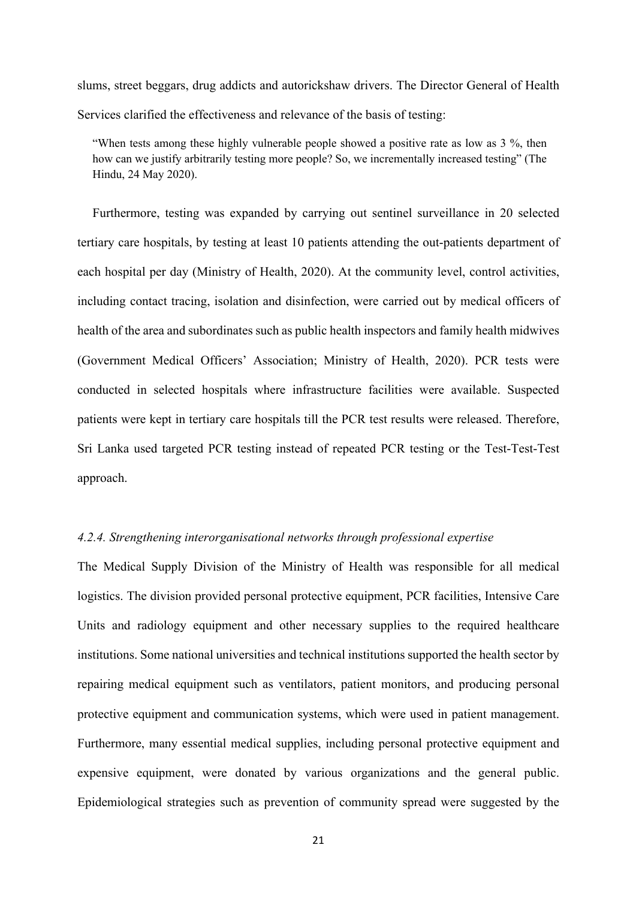slums, street beggars, drug addicts and autorickshaw drivers. The Director General of Health Services clarified the effectiveness and relevance of the basis of testing:

"When tests among these highly vulnerable people showed a positive rate as low as 3 %, then how can we justify arbitrarily testing more people? So, we incrementally increased testing" (The Hindu, 24 May 2020).

Furthermore, testing was expanded by carrying out sentinel surveillance in 20 selected tertiary care hospitals, by testing at least 10 patients attending the out-patients department of each hospital per day (Ministry of Health, 2020). At the community level, control activities, including contact tracing, isolation and disinfection, were carried out by medical officers of health of the area and subordinates such as public health inspectors and family health midwives (Government Medical Officers' Association; Ministry of Health, 2020). PCR tests were conducted in selected hospitals where infrastructure facilities were available. Suspected patients were kept in tertiary care hospitals till the PCR test results were released. Therefore, Sri Lanka used targeted PCR testing instead of repeated PCR testing or the Test-Test-Test approach.

# *4.2.4. Strengthening interorganisational networks through professional expertise*

The Medical Supply Division of the Ministry of Health was responsible for all medical logistics. The division provided personal protective equipment, PCR facilities, Intensive Care Units and radiology equipment and other necessary supplies to the required healthcare institutions. Some national universities and technical institutions supported the health sector by repairing medical equipment such as ventilators, patient monitors, and producing personal protective equipment and communication systems, which were used in patient management. Furthermore, many essential medical supplies, including personal protective equipment and expensive equipment, were donated by various organizations and the general public. Epidemiological strategies such as prevention of community spread were suggested by the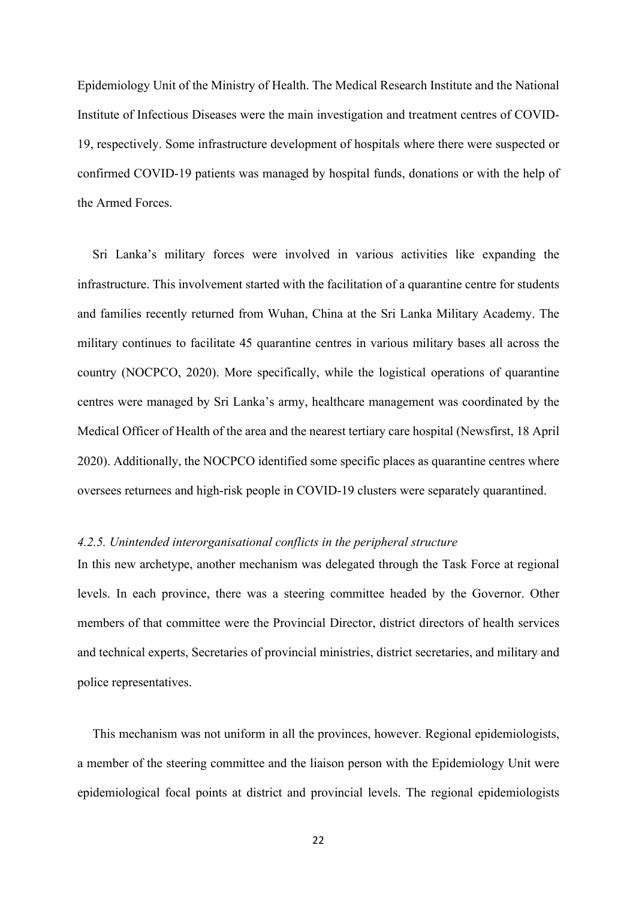Epidemiology Unit of the Ministry of Health. The Medical Research Institute and the National Institute of Infectious Diseases were the main investigation and treatment centres of COVID-19, respectively. Some infrastructure development of hospitals where there were suspected or confirmed COVID-19 patients was managed by hospital funds, donations or with the help of the Armed Forces.

Sri Lanka's military forces were involved in various activities like expanding the infrastructure. This involvement started with the facilitation of a quarantine centre for students and families recently returned from Wuhan, China at the Sri Lanka Military Academy. The military continues to facilitate 45 quarantine centres in various military bases all across the country (NOCPCO, 2020). More specifically, while the logistical operations of quarantine centres were managed by Sri Lanka's army, healthcare management was coordinated by the Medical Officer of Health of the area and the nearest tertiary care hospital (Newsfirst, 18 April 2020). Additionally, the NOCPCO identified some specific places as quarantine centres where oversees returnees and high-risk people in COVID-19 clusters were separately quarantined.

## *4.2.5. Unintended interorganisational conflicts in the peripheral structure*

In this new archetype, another mechanism was delegated through the Task Force at regional levels. In each province, there was a steering committee headed by the Governor. Other members of that committee were the Provincial Director, district directors of health services and technical experts, Secretaries of provincial ministries, district secretaries, and military and police representatives.

This mechanism was not uniform in all the provinces, however. Regional epidemiologists, a member of the steering committee and the liaison person with the Epidemiology Unit were epidemiological focal points at district and provincial levels. The regional epidemiologists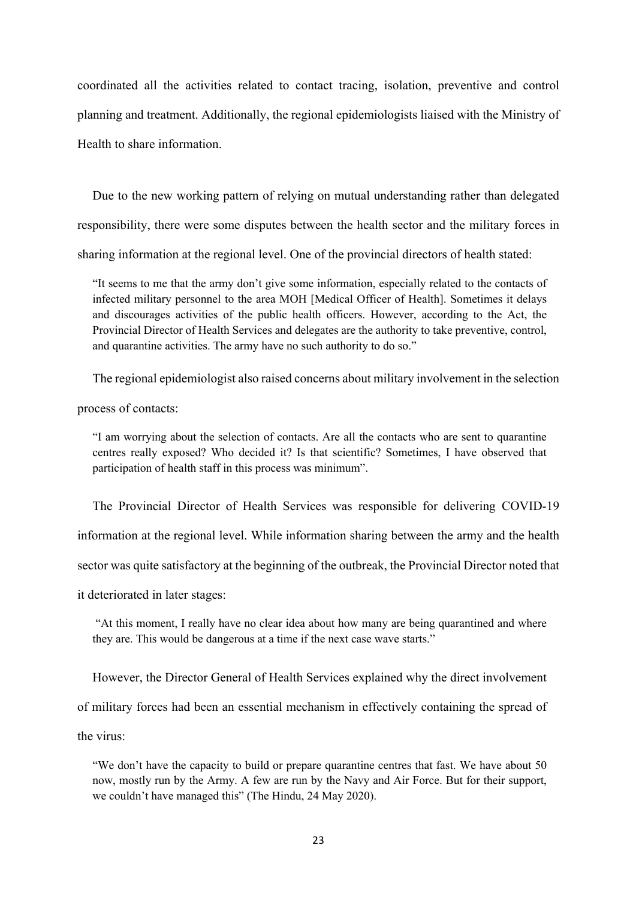coordinated all the activities related to contact tracing, isolation, preventive and control planning and treatment. Additionally, the regional epidemiologists liaised with the Ministry of Health to share information.

Due to the new working pattern of relying on mutual understanding rather than delegated responsibility, there were some disputes between the health sector and the military forces in sharing information at the regional level. One of the provincial directors of health stated:

"It seems to me that the army don't give some information, especially related to the contacts of infected military personnel to the area MOH [Medical Officer of Health]. Sometimes it delays and discourages activities of the public health officers. However, according to the Act, the Provincial Director of Health Services and delegates are the authority to take preventive, control, and quarantine activities. The army have no such authority to do so."

The regional epidemiologist also raised concerns about military involvement in the selection

process of contacts:

"I am worrying about the selection of contacts. Are all the contacts who are sent to quarantine centres really exposed? Who decided it? Is that scientific? Sometimes, I have observed that participation of health staff in this process was minimum".

The Provincial Director of Health Services was responsible for delivering COVID-19

information at the regional level. While information sharing between the army and the health

sector was quite satisfactory at the beginning of the outbreak, the Provincial Director noted that

it deteriorated in later stages:

"At this moment, I really have no clear idea about how many are being quarantined and where they are. This would be dangerous at a time if the next case wave starts."

However, the Director General of Health Services explained why the direct involvement of military forces had been an essential mechanism in effectively containing the spread of the virus:

"We don't have the capacity to build or prepare quarantine centres that fast. We have about 50 now, mostly run by the Army. A few are run by the Navy and Air Force. But for their support, we couldn't have managed this" (The Hindu, 24 May 2020).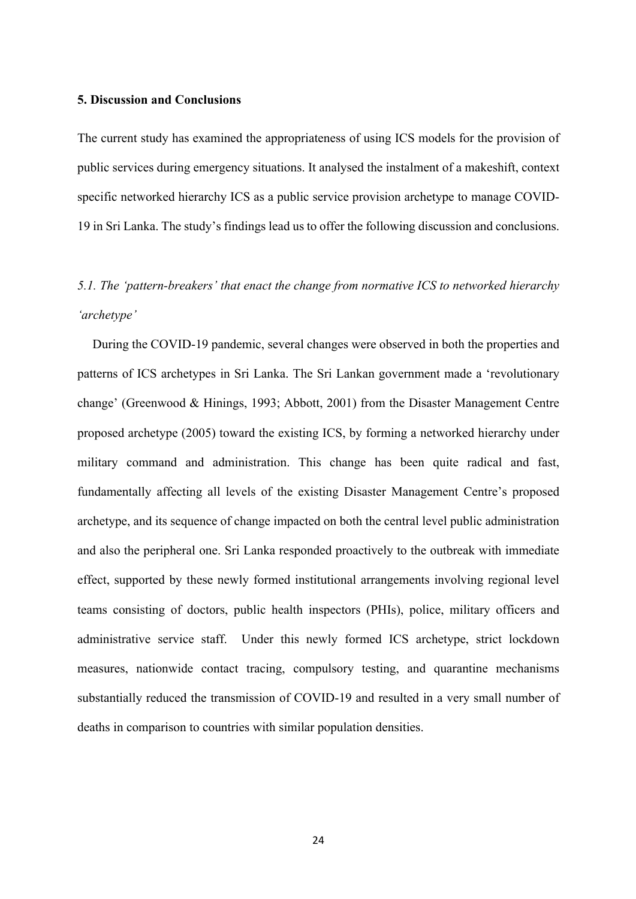# **5. Discussion and Conclusions**

The current study has examined the appropriateness of using ICS models for the provision of public services during emergency situations. It analysed the instalment of a makeshift, context specific networked hierarchy ICS as a public service provision archetype to manage COVID-19 in Sri Lanka. The study's findings lead us to offer the following discussion and conclusions.

# *5.1. The 'pattern-breakers' that enact the change from normative ICS to networked hierarchy 'archetype'*

During the COVID-19 pandemic, several changes were observed in both the properties and patterns of ICS archetypes in Sri Lanka. The Sri Lankan government made a 'revolutionary change' (Greenwood & Hinings, 1993; Abbott, 2001) from the Disaster Management Centre proposed archetype (2005) toward the existing ICS, by forming a networked hierarchy under military command and administration. This change has been quite radical and fast, fundamentally affecting all levels of the existing Disaster Management Centre's proposed archetype, and its sequence of change impacted on both the central level public administration and also the peripheral one. Sri Lanka responded proactively to the outbreak with immediate effect, supported by these newly formed institutional arrangements involving regional level teams consisting of doctors, public health inspectors (PHIs), police, military officers and administrative service staff. Under this newly formed ICS archetype, strict lockdown measures, nationwide contact tracing, compulsory testing, and quarantine mechanisms substantially reduced the transmission of COVID-19 and resulted in a very small number of deaths in comparison to countries with similar population densities.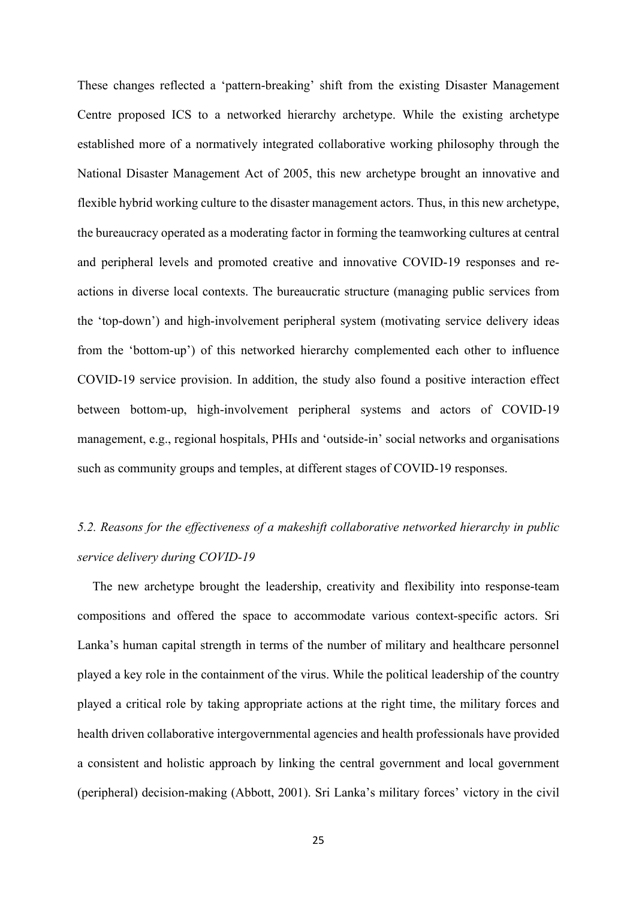These changes reflected a 'pattern-breaking' shift from the existing Disaster Management Centre proposed ICS to a networked hierarchy archetype. While the existing archetype established more of a normatively integrated collaborative working philosophy through the National Disaster Management Act of 2005, this new archetype brought an innovative and flexible hybrid working culture to the disaster management actors. Thus, in this new archetype, the bureaucracy operated as a moderating factor in forming the teamworking cultures at central and peripheral levels and promoted creative and innovative COVID-19 responses and reactions in diverse local contexts. The bureaucratic structure (managing public services from the 'top-down') and high-involvement peripheral system (motivating service delivery ideas from the 'bottom-up') of this networked hierarchy complemented each other to influence COVID-19 service provision. In addition, the study also found a positive interaction effect between bottom-up, high-involvement peripheral systems and actors of COVID-19 management, e.g., regional hospitals, PHIs and 'outside-in' social networks and organisations such as community groups and temples, at different stages of COVID-19 responses.

# *5.2. Reasons for the effectiveness of a makeshift collaborative networked hierarchy in public service delivery during COVID-19*

The new archetype brought the leadership, creativity and flexibility into response-team compositions and offered the space to accommodate various context-specific actors. Sri Lanka's human capital strength in terms of the number of military and healthcare personnel played a key role in the containment of the virus. While the political leadership of the country played a critical role by taking appropriate actions at the right time, the military forces and health driven collaborative intergovernmental agencies and health professionals have provided a consistent and holistic approach by linking the central government and local government (peripheral) decision-making (Abbott, 2001). Sri Lanka's military forces' victory in the civil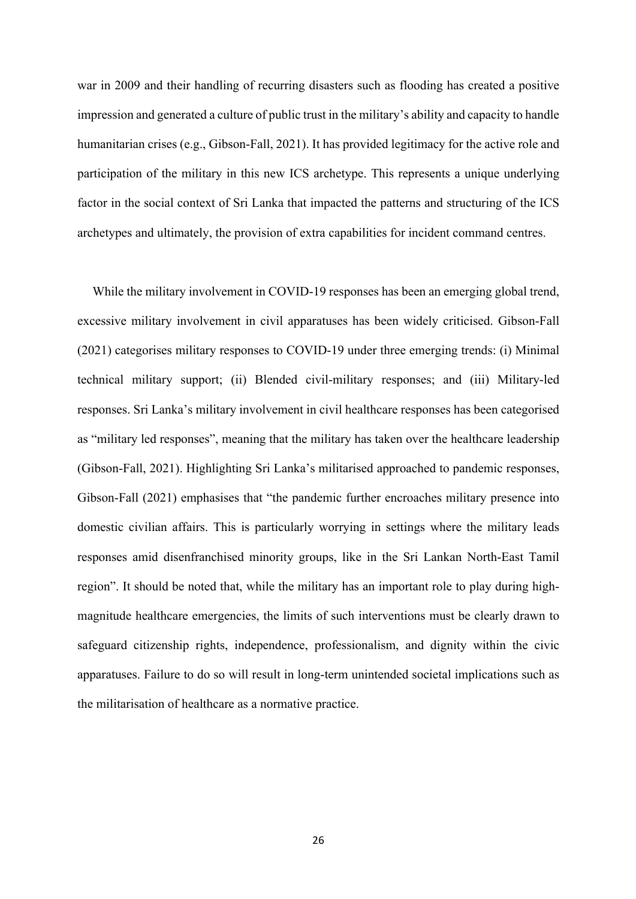war in 2009 and their handling of recurring disasters such as flooding has created a positive impression and generated a culture of public trust in the military's ability and capacity to handle humanitarian crises (e.g., Gibson-Fall, 2021). It has provided legitimacy for the active role and participation of the military in this new ICS archetype. This represents a unique underlying factor in the social context of Sri Lanka that impacted the patterns and structuring of the ICS archetypes and ultimately, the provision of extra capabilities for incident command centres.

While the military involvement in COVID-19 responses has been an emerging global trend, excessive military involvement in civil apparatuses has been widely criticised. Gibson-Fall (2021) categorises military responses to COVID-19 under three emerging trends: (i) Minimal technical military support; (ii) Blended civil-military responses; and (iii) Military-led responses. Sri Lanka's military involvement in civil healthcare responses has been categorised as "military led responses", meaning that the military has taken over the healthcare leadership (Gibson-Fall, 2021). Highlighting Sri Lanka's militarised approached to pandemic responses, Gibson-Fall (2021) emphasises that "the pandemic further encroaches military presence into domestic civilian affairs. This is particularly worrying in settings where the military leads responses amid disenfranchised minority groups, like in the Sri Lankan North-East Tamil region". It should be noted that, while the military has an important role to play during highmagnitude healthcare emergencies, the limits of such interventions must be clearly drawn to safeguard citizenship rights, independence, professionalism, and dignity within the civic apparatuses. Failure to do so will result in long-term unintended societal implications such as the militarisation of healthcare as a normative practice.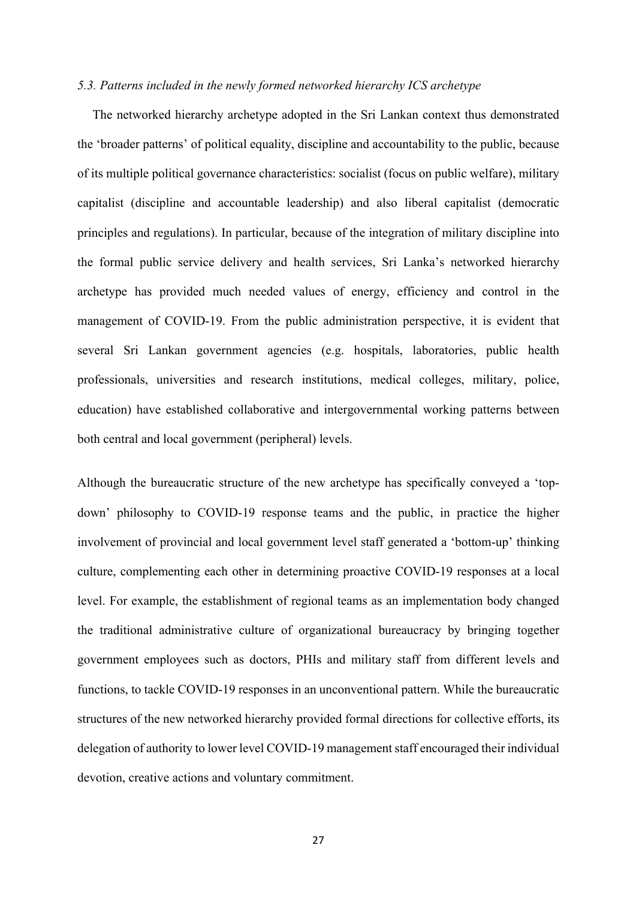## *5.3. Patterns included in the newly formed networked hierarchy ICS archetype*

The networked hierarchy archetype adopted in the Sri Lankan context thus demonstrated the 'broader patterns' of political equality, discipline and accountability to the public, because of its multiple political governance characteristics: socialist (focus on public welfare), military capitalist (discipline and accountable leadership) and also liberal capitalist (democratic principles and regulations). In particular, because of the integration of military discipline into the formal public service delivery and health services, Sri Lanka's networked hierarchy archetype has provided much needed values of energy, efficiency and control in the management of COVID-19. From the public administration perspective, it is evident that several Sri Lankan government agencies (e.g. hospitals, laboratories, public health professionals, universities and research institutions, medical colleges, military, police, education) have established collaborative and intergovernmental working patterns between both central and local government (peripheral) levels.

Although the bureaucratic structure of the new archetype has specifically conveyed a 'topdown' philosophy to COVID-19 response teams and the public, in practice the higher involvement of provincial and local government level staff generated a 'bottom-up' thinking culture, complementing each other in determining proactive COVID-19 responses at a local level. For example, the establishment of regional teams as an implementation body changed the traditional administrative culture of organizational bureaucracy by bringing together government employees such as doctors, PHIs and military staff from different levels and functions, to tackle COVID-19 responses in an unconventional pattern. While the bureaucratic structures of the new networked hierarchy provided formal directions for collective efforts, its delegation of authority to lower level COVID-19 management staff encouraged their individual devotion, creative actions and voluntary commitment.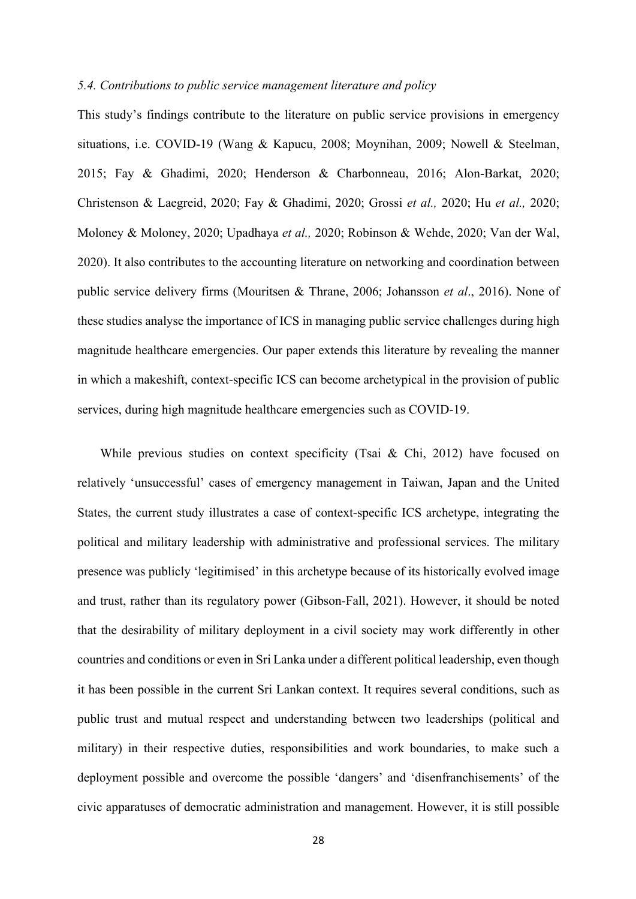# *5.4. Contributions to public service management literature and policy*

This study's findings contribute to the literature on public service provisions in emergency situations, i.e. COVID-19 (Wang & Kapucu, 2008; Moynihan, 2009; Nowell & Steelman, 2015; Fay & Ghadimi, 2020; Henderson & Charbonneau, 2016; Alon-Barkat, 2020; Christenson & Laegreid, 2020; Fay & Ghadimi, 2020; Grossi *et al.,* 2020; Hu *et al.,* 2020; Moloney & Moloney, 2020; Upadhaya *et al.,* 2020; Robinson & Wehde, 2020; Van der Wal, 2020). It also contributes to the accounting literature on networking and coordination between public service delivery firms (Mouritsen & Thrane, 2006; Johansson *et al*., 2016). None of these studies analyse the importance of ICS in managing public service challenges during high magnitude healthcare emergencies. Our paper extends this literature by revealing the manner in which a makeshift, context-specific ICS can become archetypical in the provision of public services, during high magnitude healthcare emergencies such as COVID-19.

While previous studies on context specificity (Tsai & Chi, 2012) have focused on relatively 'unsuccessful' cases of emergency management in Taiwan, Japan and the United States, the current study illustrates a case of context-specific ICS archetype, integrating the political and military leadership with administrative and professional services. The military presence was publicly 'legitimised' in this archetype because of its historically evolved image and trust, rather than its regulatory power (Gibson-Fall, 2021). However, it should be noted that the desirability of military deployment in a civil society may work differently in other countries and conditions or even in Sri Lanka under a different political leadership, even though it has been possible in the current Sri Lankan context. It requires several conditions, such as public trust and mutual respect and understanding between two leaderships (political and military) in their respective duties, responsibilities and work boundaries, to make such a deployment possible and overcome the possible 'dangers' and 'disenfranchisements' of the civic apparatuses of democratic administration and management. However, it is still possible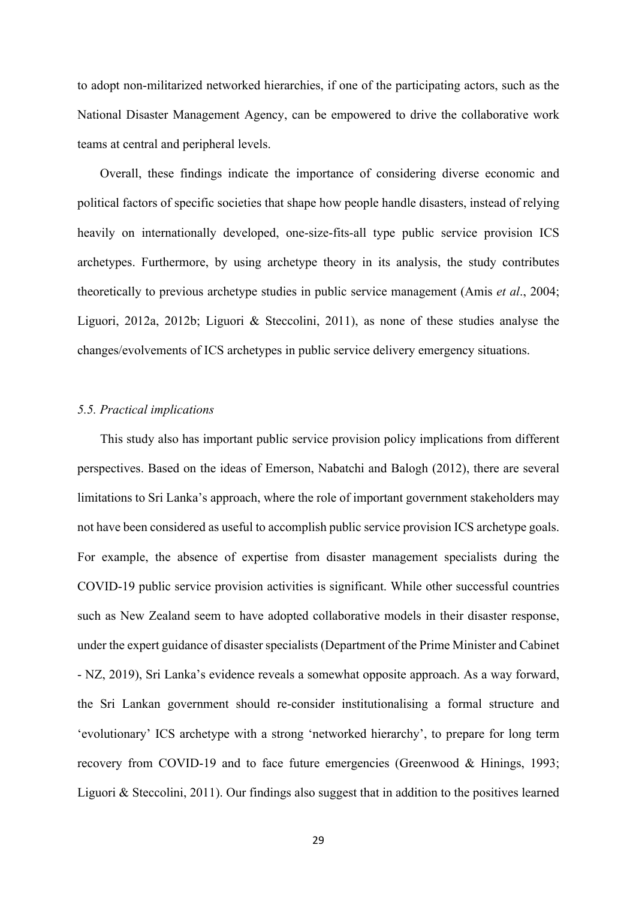to adopt non-militarized networked hierarchies, if one of the participating actors, such as the National Disaster Management Agency, can be empowered to drive the collaborative work teams at central and peripheral levels.

Overall, these findings indicate the importance of considering diverse economic and political factors of specific societies that shape how people handle disasters, instead of relying heavily on internationally developed, one-size-fits-all type public service provision ICS archetypes. Furthermore, by using archetype theory in its analysis, the study contributes theoretically to previous archetype studies in public service management (Amis *et al*., 2004; Liguori, 2012a, 2012b; Liguori & Steccolini, 2011), as none of these studies analyse the changes/evolvements of ICS archetypes in public service delivery emergency situations.

#### *5.5. Practical implications*

This study also has important public service provision policy implications from different perspectives. Based on the ideas of Emerson, Nabatchi and Balogh (2012), there are several limitations to Sri Lanka's approach, where the role of important government stakeholders may not have been considered as useful to accomplish public service provision ICS archetype goals. For example, the absence of expertise from disaster management specialists during the COVID-19 public service provision activities is significant. While other successful countries such as New Zealand seem to have adopted collaborative models in their disaster response, under the expert guidance of disaster specialists (Department of the Prime Minister and Cabinet - NZ, 2019), Sri Lanka's evidence reveals a somewhat opposite approach. As a way forward, the Sri Lankan government should re-consider institutionalising a formal structure and 'evolutionary' ICS archetype with a strong 'networked hierarchy', to prepare for long term recovery from COVID-19 and to face future emergencies (Greenwood & Hinings, 1993; Liguori & Steccolini, 2011). Our findings also suggest that in addition to the positives learned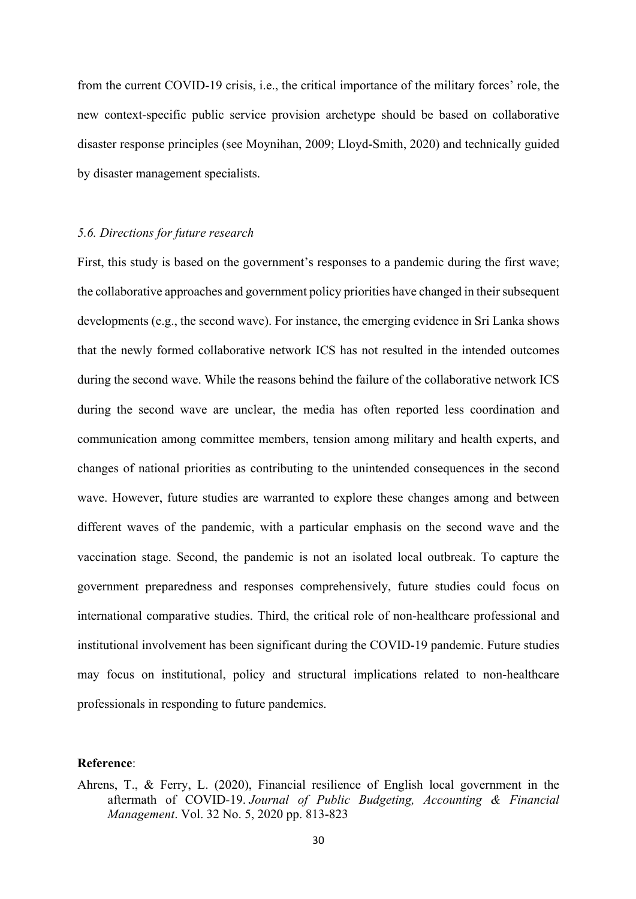from the current COVID-19 crisis, i.e., the critical importance of the military forces' role, the new context-specific public service provision archetype should be based on collaborative disaster response principles (see Moynihan, 2009; Lloyd-Smith, 2020) and technically guided by disaster management specialists.

#### *5.6. Directions for future research*

First, this study is based on the government's responses to a pandemic during the first wave; the collaborative approaches and government policy priorities have changed in their subsequent developments (e.g., the second wave). For instance, the emerging evidence in Sri Lanka shows that the newly formed collaborative network ICS has not resulted in the intended outcomes during the second wave. While the reasons behind the failure of the collaborative network ICS during the second wave are unclear, the media has often reported less coordination and communication among committee members, tension among military and health experts, and changes of national priorities as contributing to the unintended consequences in the second wave. However, future studies are warranted to explore these changes among and between different waves of the pandemic, with a particular emphasis on the second wave and the vaccination stage. Second, the pandemic is not an isolated local outbreak. To capture the government preparedness and responses comprehensively, future studies could focus on international comparative studies. Third, the critical role of non-healthcare professional and institutional involvement has been significant during the COVID-19 pandemic. Future studies may focus on institutional, policy and structural implications related to non-healthcare professionals in responding to future pandemics.

# **Reference**:

Ahrens, T., & Ferry, L. (2020), Financial resilience of English local government in the aftermath of COVID-19. *Journal of Public Budgeting, Accounting & Financial Management*. Vol. 32 No. 5, 2020 pp. 813-823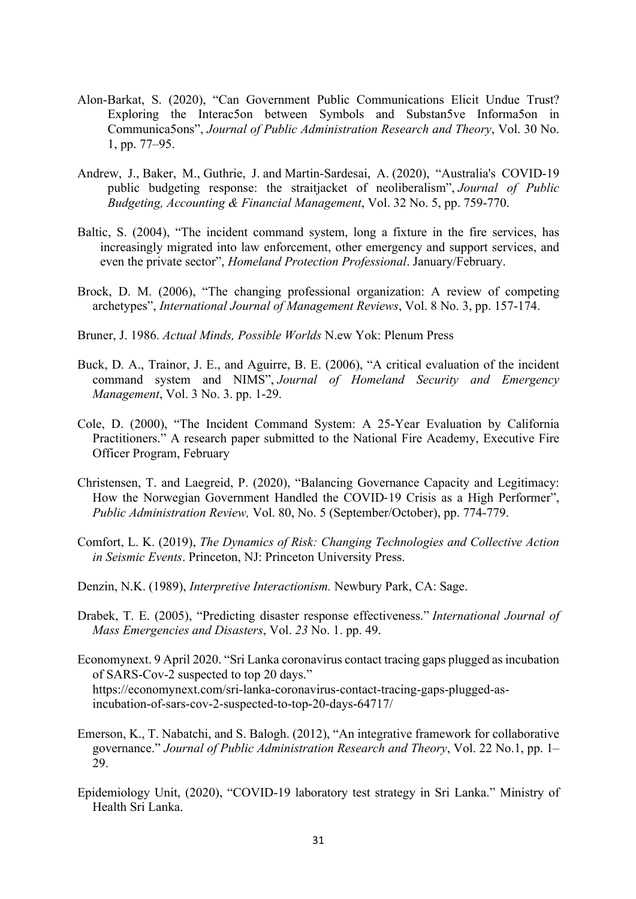- Alon-Barkat, S. (2020), "Can Government Public Communications Elicit Undue Trust? Exploring the Interac5on between Symbols and Substan5ve Informa5on in Communica5ons", *Journal of Public Administration Research and Theory*, Vol. 30 No. 1, pp. 77–95.
- Andrew, J., Baker, M., Guthrie, J. and Martin-Sardesai, A. (2020), "Australia's COVID-19 public budgeting response: the straitjacket of neoliberalism", *Journal of Public Budgeting, Accounting & Financial Management*, Vol. 32 No. 5, pp. 759-770.
- Baltic, S. (2004), "The incident command system, long a fixture in the fire services, has increasingly migrated into law enforcement, other emergency and support services, and even the private sector", *Homeland Protection Professional*. January/February.
- Brock, D. M. (2006), "The changing professional organization: A review of competing archetypes", *International Journal of Management Reviews*, Vol. 8 No. 3, pp. 157-174.
- Bruner, J. 1986. *Actual Minds, Possible Worlds* N.ew Yok: Plenum Press
- Buck, D. A., Trainor, J. E., and Aguirre, B. E. (2006), "A critical evaluation of the incident command system and NIMS", *Journal of Homeland Security and Emergency Management*, Vol. 3 No. 3. pp. 1-29.
- Cole, D. (2000), "The Incident Command System: A 25-Year Evaluation by California Practitioners." A research paper submitted to the National Fire Academy, Executive Fire Officer Program, February
- Christensen, T. and Laegreid, P. (2020), "Balancing Governance Capacity and Legitimacy: How the Norwegian Government Handled the COVID-19 Crisis as a High Performer", *Public Administration Review,* Vol. 80, No. 5 (September/October), pp. 774-779.
- Comfort, L. K. (2019), *The Dynamics of Risk: Changing Technologies and Collective Action in Seismic Events*. Princeton, NJ: Princeton University Press.
- Denzin, N.K. (1989), *Interpretive Interactionism.* Newbury Park, CA: Sage.
- Drabek, T. E. (2005), "Predicting disaster response effectiveness." *International Journal of Mass Emergencies and Disasters*, Vol. *23* No. 1. pp. 49.
- Economynext. 9 April 2020. "Sri Lanka coronavirus contact tracing gaps plugged as incubation of SARS-Cov-2 suspected to top 20 days." https://economynext.com/sri-lanka-coronavirus-contact-tracing-gaps-plugged-asincubation-of-sars-cov-2-suspected-to-top-20-days-64717/
- Emerson, K., T. Nabatchi, and S. Balogh. (2012), "An integrative framework for collaborative governance." *Journal of Public Administration Research and Theory*, Vol. 22 No.1, pp. 1– 29.
- Epidemiology Unit, (2020), "COVID-19 laboratory test strategy in Sri Lanka." Ministry of Health Sri Lanka.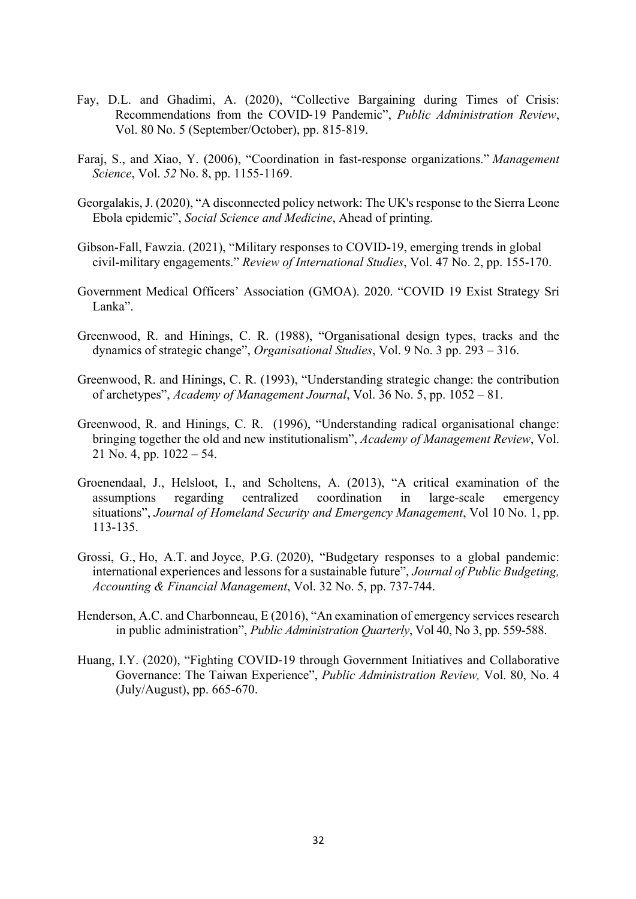- Fay, D.L. and Ghadimi, A. (2020), "Collective Bargaining during Times of Crisis: Recommendations from the COVID-19 Pandemic", *Public Administration Review*, Vol. 80 No. 5 (September/October), pp. 815-819.
- Faraj, S., and Xiao, Y. (2006), "Coordination in fast-response organizations." *Management Science*, Vol. *52* No. 8, pp. 1155-1169.
- Georgalakis, J. (2020), "A disconnected policy network: The UK's response to the Sierra Leone Ebola epidemic", *Social Science and Medicine*, Ahead of printing.
- Gibson-Fall, Fawzia. (2021), "Military responses to COVID-19, emerging trends in global civil-military engagements." *Review of International Studies*, Vol. 47 No. 2, pp. 155-170.
- Government Medical Officers' Association (GMOA). 2020. "COVID 19 Exist Strategy Sri Lanka".
- Greenwood, R. and Hinings, C. R. (1988), "Organisational design types, tracks and the dynamics of strategic change", *Organisational Studies*, Vol. 9 No. 3 pp. 293 – 316.
- Greenwood, R. and Hinings, C. R. (1993), "Understanding strategic change: the contribution of archetypes", *Academy of Management Journal*, Vol. 36 No. 5, pp. 1052 – 81.
- Greenwood, R. and Hinings, C. R. (1996), "Understanding radical organisational change: bringing together the old and new institutionalism", *Academy of Management Review*, Vol. 21 No. 4, pp. 1022 – 54.
- Groenendaal, J., Helsloot, I., and Scholtens, A. (2013), "A critical examination of the assumptions regarding centralized coordination in large-scale emergency situations", *Journal of Homeland Security and Emergency Management*, Vol 10 No. 1, pp. 113-135.
- Grossi, G., Ho, A.T. and Joyce, P.G. (2020), "Budgetary responses to a global pandemic: international experiences and lessons for a sustainable future", *Journal of Public Budgeting, Accounting & Financial Management*, Vol. 32 No. 5, pp. 737-744.
- Henderson, A.C. and Charbonneau, E (2016), "An examination of emergency services research in public administration", *Public Administration Quarterly*, Vol 40, No 3, pp. 559-588.
- Huang, I.Y. (2020), "Fighting COVID-19 through Government Initiatives and Collaborative Governance: The Taiwan Experience", *Public Administration Review,* Vol. 80, No. 4 (July/August), pp. 665-670.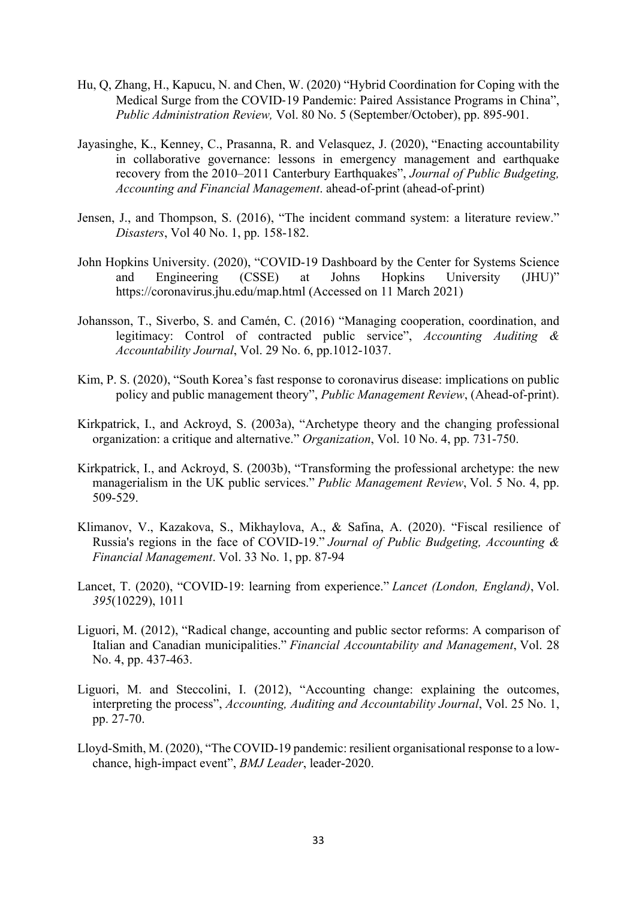- Hu, Q, Zhang, H., Kapucu, N. and Chen, W. (2020) "Hybrid Coordination for Coping with the Medical Surge from the COVID-19 Pandemic: Paired Assistance Programs in China", *Public Administration Review,* Vol. 80 No. 5 (September/October), pp. 895-901.
- Jayasinghe, K., Kenney, C., Prasanna, R. and Velasquez, J. (2020), "Enacting accountability in collaborative governance: lessons in emergency management and earthquake recovery from the 2010–2011 Canterbury Earthquakes", *Journal of Public Budgeting, Accounting and Financial Management*. ahead-of-print (ahead-of-print)
- Jensen, J., and Thompson, S. (2016), "The incident command system: a literature review." *Disasters*, Vol 40 No. 1, pp. 158-182.
- John Hopkins University. (2020), "COVID-19 Dashboard by the Center for Systems Science and Engineering (CSSE) at Johns Hopkins University (JHU)" https://coronavirus.jhu.edu/map.html (Accessed on 11 March 2021)
- Johansson, T., Siverbo, S. and Camén, C. (2016) "Managing cooperation, coordination, and legitimacy: Control of contracted public service", *Accounting Auditing Accountability Journal*, Vol. 29 No. 6, pp.1012-1037.
- Kim, P. S. (2020), "South Korea's fast response to coronavirus disease: implications on public policy and public management theory", *Public Management Review*, (Ahead-of-print).
- Kirkpatrick, I., and Ackroyd, S. (2003a), "Archetype theory and the changing professional organization: a critique and alternative." *Organization*, Vol. 10 No. 4, pp. 731-750.
- Kirkpatrick, I., and Ackroyd, S. (2003b), "Transforming the professional archetype: the new managerialism in the UK public services." *Public Management Review*, Vol. 5 No. 4, pp. 509-529.
- Klimanov, V., Kazakova, S., Mikhaylova, A., & Safina, A. (2020). "Fiscal resilience of Russia's regions in the face of COVID-19." *Journal of Public Budgeting, Accounting & Financial Management*. Vol. 33 No. 1, pp. 87-94
- Lancet, T. (2020), "COVID-19: learning from experience." *Lancet (London, England)*, Vol. *395*(10229), 1011
- Liguori, M. (2012), "Radical change, accounting and public sector reforms: A comparison of Italian and Canadian municipalities." *Financial Accountability and Management*, Vol. 28 No. 4, pp. 437-463.
- Liguori, M. and Steccolini, I. (2012), "Accounting change: explaining the outcomes, interpreting the process", *Accounting, Auditing and Accountability Journal*, Vol. 25 No. 1, pp. 27-70.
- Lloyd-Smith, M. (2020), "The COVID-19 pandemic: resilient organisational response to a lowchance, high-impact event", *BMJ Leader*, leader-2020.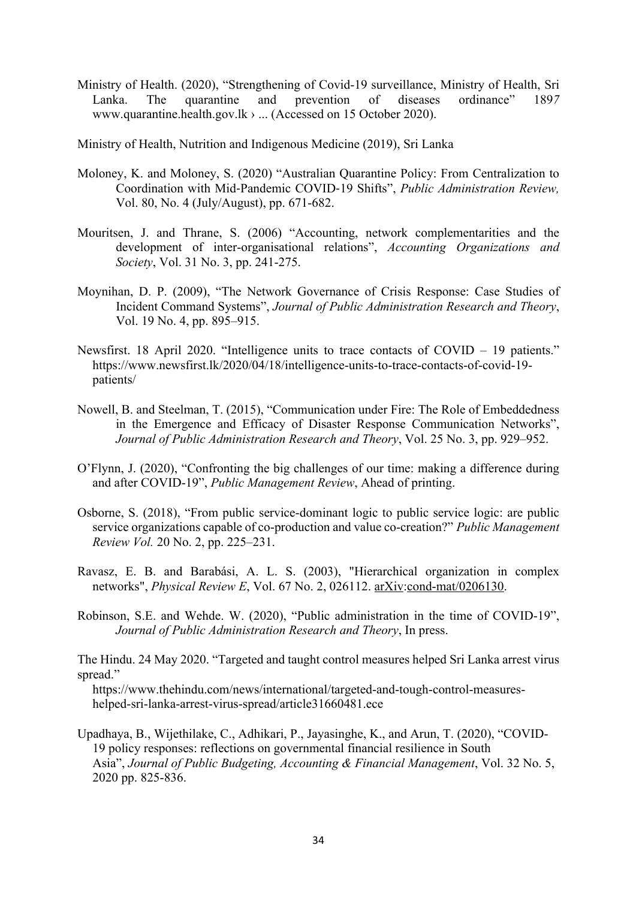Ministry of Health. (2020), "Strengthening of Covid-19 surveillance, Ministry of Health, Sri Lanka. The quarantine and prevention of diseases ordinance" 189*7* www.quarantine.health.gov.lk › ... (Accessed on 15 October 2020).

Ministry of Health, Nutrition and Indigenous Medicine (2019), Sri Lanka

- Moloney, K. and Moloney, S. (2020) "Australian Quarantine Policy: From Centralization to Coordination with Mid-Pandemic COVID-19 Shifts", *Public Administration Review,* Vol. 80, No. 4 (July/August), pp. 671-682.
- Mouritsen, J. and Thrane, S. (2006) "Accounting, network complementarities and the development of inter-organisational relations", *Accounting Organizations and Society*, Vol. 31 No. 3, pp. 241-275.
- Moynihan, D. P. (2009), "The Network Governance of Crisis Response: Case Studies of Incident Command Systems", *Journal of Public Administration Research and Theory*, Vol. 19 No. 4, pp. 895–915.
- Newsfirst. 18 April 2020. "Intelligence units to trace contacts of COVID 19 patients." https://www.newsfirst.lk/2020/04/18/intelligence-units-to-trace-contacts-of-covid-19 patients/
- Nowell, B. and Steelman, T. (2015), "Communication under Fire: The Role of Embeddedness in the Emergence and Efficacy of Disaster Response Communication Networks", *Journal of Public Administration Research and Theory*, Vol. 25 No. 3, pp. 929–952.
- O'Flynn, J. (2020), "Confronting the big challenges of our time: making a difference during and after COVID-19", *Public Management Review*, Ahead of printing.
- Osborne, S. (2018), "From public service-dominant logic to public service logic: are public service organizations capable of co-production and value co-creation?" *Public Management Review Vol.* 20 No. 2, pp. 225–231.
- Ravasz, E. B. and Barabási, A. L. S. (2003), "Hierarchical organization in complex networks", *Physical Review E*, Vol. 67 No. 2, 026112. arXiv:cond-mat/0206130.
- Robinson, S.E. and Wehde. W. (2020), "Public administration in the time of COVID-19", *Journal of Public Administration Research and Theory*, In press.

The Hindu. 24 May 2020. "Targeted and taught control measures helped Sri Lanka arrest virus spread."

https://www.thehindu.com/news/international/targeted-and-tough-control-measureshelped-sri-lanka-arrest-virus-spread/article31660481.ece

Upadhaya, B., Wijethilake, C., Adhikari, P., Jayasinghe, K., and Arun, T. (2020), "COVID-19 policy responses: reflections on governmental financial resilience in South Asia", *Journal of Public Budgeting, Accounting & Financial Management*, Vol. 32 No. 5, 2020 pp. 825-836.